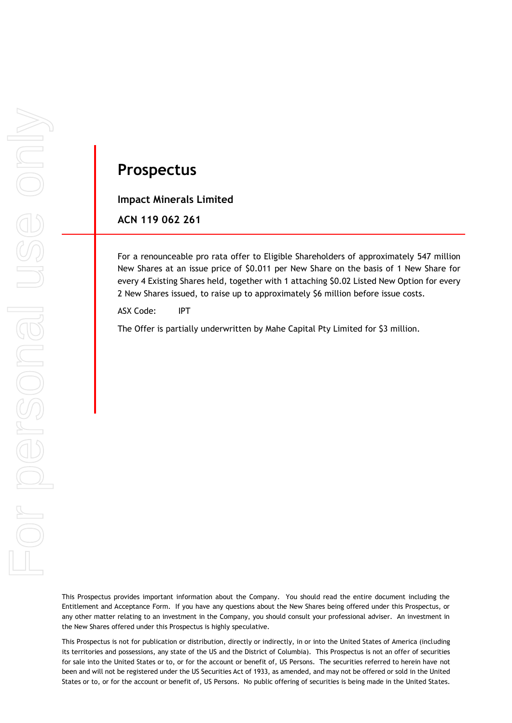# **Prospectus**

**Impact Minerals Limited**

**ACN 119 062 261**

For a renounceable pro rata offer to Eligible Shareholders of approximately 547 million New Shares at an issue price of \$0.011 per New Share on the basis of 1 New Share for every 4 Existing Shares held, together with 1 attaching \$0.02 Listed New Option for every 2 New Shares issued, to raise up to approximately \$6 million before issue costs.

ASX Code: IPT

The Offer is partially underwritten by Mahe Capital Pty Limited for \$3 million.

This Prospectus provides important information about the Company. You should read the entire document including the Entitlement and Acceptance Form. If you have any questions about the New Shares being offered under this Prospectus, or any other matter relating to an investment in the Company, you should consult your professional adviser. An investment in the New Shares offered under this Prospectus is highly speculative.

This Prospectus is not for publication or distribution, directly or indirectly, in or into the United States of America (including its territories and possessions, any state of the US and the District of Columbia). This Prospectus is not an offer of securities for sale into the United States or to, or for the account or benefit of, US Persons. The securities referred to herein have not been and will not be registered under the US Securities Act of 1933, as amended, and may not be offered or sold in the United States or to, or for the account or benefit of, US Persons. No public offering of securities is being made in the United States.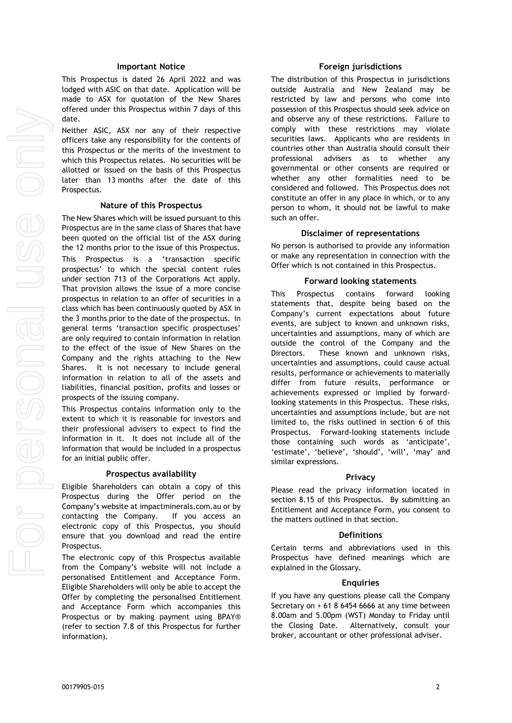#### **Important Notice**

This Prospectus is dated 26 April 2022 and was lodged with ASIC on that date. Application will be made to ASX for quotation of the New Shares offered under this Prospectus within 7 days of this date.

Neither ASIC, ASX nor any of their respective officers take any responsibility for the contents of this Prospectus or the merits of the investment to which this Prospectus relates. No securities will be allotted or issued on the basis of this Prospectus later than 13 months after the date of this Prospectus.

#### **Nature of this Prospectus**

The New Shares which will be issued pursuant to this Prospectus are in the same class of Shares that have been quoted on the official list of the ASX during the 12 months prior to the issue of this Prospectus. This Prospectus is a 'transaction specific prospectus' to which the special content rules under section 713 of the Corporations Act apply. That provision allows the issue of a more concise prospectus in relation to an offer of securities in a class which has been continuously quoted by ASX in the 3 months prior to the date of the prospectus. In general terms 'transaction specific prospectuses' are only required to contain information in relation to the effect of the issue of New Shares on the Company and the rights attaching to the New Shares. It is not necessary to include general information in relation to all of the assets and liabilities, financial position, profits and losses or prospects of the issuing company.

This Prospectus contains information only to the extent to which it is reasonable for investors and their professional advisers to expect to find the information in it. It does not include all of the information that would be included in a prospectus for an initial public offer.

#### **Prospectus availability**

Eligible Shareholders can obtain a copy of this Prospectus during the Offer period on the Company's website at impactminerals.com.au or by contacting the Company. If you access an electronic copy of this Prospectus, you should ensure that you download and read the entire Prospectus.

The electronic copy of this Prospectus available from the Company's website will not include a personalised Entitlement and Acceptance Form. Eligible Shareholders will only be able to accept the Offer by completing the personalised Entitlement and Acceptance Form which accompanies this Prospectus or by making payment using BPAY® (refer to section [7.8](#page-18-0) of this Prospectus for further information).

#### **Foreign jurisdictions**

The distribution of this Prospectus in jurisdictions outside Australia and New Zealand may be restricted by law and persons who come into possession of this Prospectus should seek advice on and observe any of these restrictions. Failure to comply with these restrictions may violate securities laws. Applicants who are residents in countries other than Australia should consult their professional advisers as to whether any governmental or other consents are required or whether any other formalities need to be considered and followed. This Prospectus does not constitute an offer in any place in which, or to any person to whom, it should not be lawful to make such an offer.

#### **Disclaimer of representations**

No person is authorised to provide any information or make any representation in connection with the Offer which is not contained in this Prospectus.

#### **Forward looking statements**

This Prospectus contains forward looking statements that, despite being based on the Company's current expectations about future events, are subject to known and unknown risks, uncertainties and assumptions, many of which are outside the control of the Company and the Directors. These known and unknown risks, uncertainties and assumptions, could cause actual results, performance or achievements to materially differ from future results, performance or achievements expressed or implied by forwardlooking statements in this Prospectus. These risks, uncertainties and assumptions include, but are not limited to, the risks outlined in section 6 of this Prospectus. Forward-looking statements include those containing such words as 'anticipate', 'estimate', 'believe', 'should', 'will', 'may' and similar expressions.

#### **Privacy**

Please read the privacy information located in section [8.15](#page-26-0) of this Prospectus. By submitting an Entitlement and Acceptance Form, you consent to the matters outlined in that section.

#### **Definitions**

Certain terms and abbreviations used in this Prospectus have defined meanings which are explained in the Glossary.

#### **Enquiries**

If you have any questions please call the Company Secretary on  $+ 61 8 6454 6666$  at any time between 8.00am and 5.00pm (WST) Monday to Friday until the Closing Date. Alternatively, consult your broker, accountant or other professional adviser.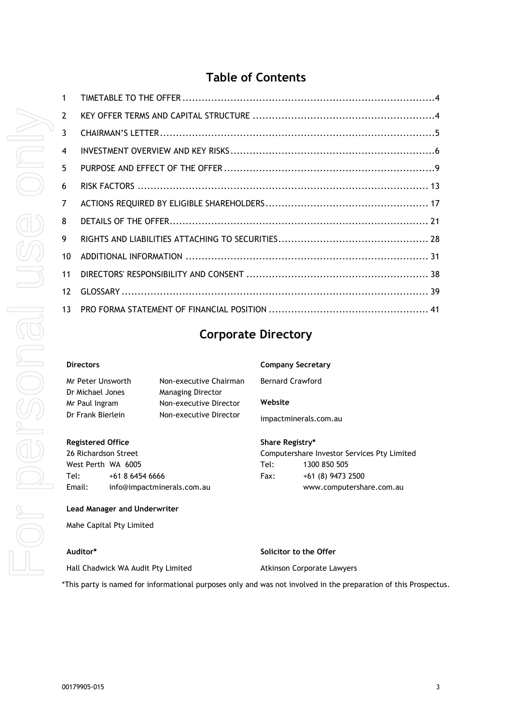# **Table of Contents**

| $\mathbf{1}$    |  |
|-----------------|--|
| $\overline{2}$  |  |
| 3               |  |
| $\overline{4}$  |  |
| 5.              |  |
| 6               |  |
| $\overline{7}$  |  |
| 8               |  |
| 9               |  |
| 10 <sup>1</sup> |  |
| 11              |  |
| 12 <sup>°</sup> |  |
| 13              |  |
|                 |  |

# **Corporate Directory**

#### **Directors**

| Mr Peter Unsworth | Non-executive Chairman   | Вe |
|-------------------|--------------------------|----|
| Dr Michael Jones  | <b>Managing Director</b> |    |
| Mr Paul Ingram    | Non-executive Director   | w  |
| Dr Frank Bierlein | Non-executive Director   |    |

**Registered Office** 26 Richardson Street West Perth WA 6005 Tel: +61 8 6454 6666 Email: info@impactminerals.com.au

#### **Lead Manager and Underwriter**

Mahe Capital Pty Limited

### **Auditor\***

**Solicitor to the Offer**

Atkinson Corporate Lawyers

Hall Chadwick WA Audit Pty Limited

\*This party is named for informational purposes only and was not involved in the preparation of this Prospectus.

**Company Secretary**

Bernard Crawford

#### **Website**

impactminerals.com.au

**Share Registry\***

Computershare Investor Services Pty Limited Tel: 1300 850 505 Fax: +61 (8) 9473 2500 www.computershare.com.au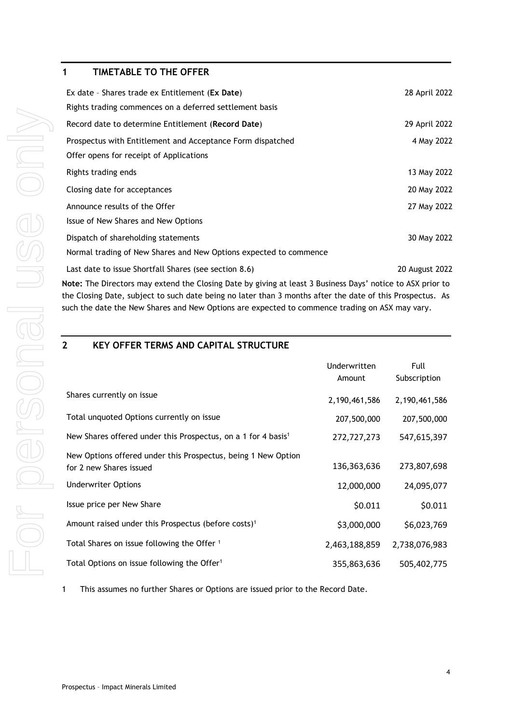# <span id="page-3-0"></span>**1 TIMETABLE TO THE OFFER**

| Ex date - Shares trade ex Entitlement (Ex Date)                                                            | 28 April 2022  |  |  |
|------------------------------------------------------------------------------------------------------------|----------------|--|--|
| Rights trading commences on a deferred settlement basis                                                    |                |  |  |
| Record date to determine Entitlement (Record Date)                                                         | 29 April 2022  |  |  |
| Prospectus with Entitlement and Acceptance Form dispatched                                                 | 4 May 2022     |  |  |
| Offer opens for receipt of Applications                                                                    |                |  |  |
| Rights trading ends                                                                                        | 13 May 2022    |  |  |
| Closing date for acceptances                                                                               | 20 May 2022    |  |  |
| Announce results of the Offer                                                                              | 27 May 2022    |  |  |
| Issue of New Shares and New Options                                                                        |                |  |  |
| Dispatch of shareholding statements                                                                        | 30 May 2022    |  |  |
| Normal trading of New Shares and New Options expected to commence                                          |                |  |  |
| Last date to issue Shortfall Shares (see section 8.6)                                                      | 20 August 2022 |  |  |
| Note: The Directors may extend the Closing Date by giving at least 3 Rusiness Days' notice to ASX prior to |                |  |  |

**Note:** The Directors may extend the Closing Date by giving at least 3 Business Days' notice to ASX prior to the Closing Date, subject to such date being no later than 3 months after the date of this Prospectus. As such the date the New Shares and New Options are expected to commence trading on ASX may vary.

# <span id="page-3-1"></span>**2 KEY OFFER TERMS AND CAPITAL STRUCTURE**

|                                                                                          | Underwritten<br>Amount | Full<br>Subscription |
|------------------------------------------------------------------------------------------|------------------------|----------------------|
| Shares currently on issue                                                                | 2,190,461,586          | 2,190,461,586        |
| Total unquoted Options currently on issue                                                | 207,500,000            | 207,500,000          |
| New Shares offered under this Prospectus, on a 1 for 4 basis <sup>1</sup>                | 272,727,273            | 547,615,397          |
| New Options offered under this Prospectus, being 1 New Option<br>for 2 new Shares issued | 136,363,636            | 273,807,698          |
| <b>Underwriter Options</b>                                                               | 12,000,000             | 24,095,077           |
| Issue price per New Share                                                                | \$0.011                | \$0.011              |
| Amount raised under this Prospectus (before costs) <sup>1</sup>                          | \$3,000,000            | \$6,023,769          |
| Total Shares on issue following the Offer 1                                              | 2,463,188,859          | 2,738,076,983        |
| Total Options on issue following the Offer <sup>1</sup>                                  | 355,863,636            | 505,402,775          |

1 This assumes no further Shares or Options are issued prior to the Record Date.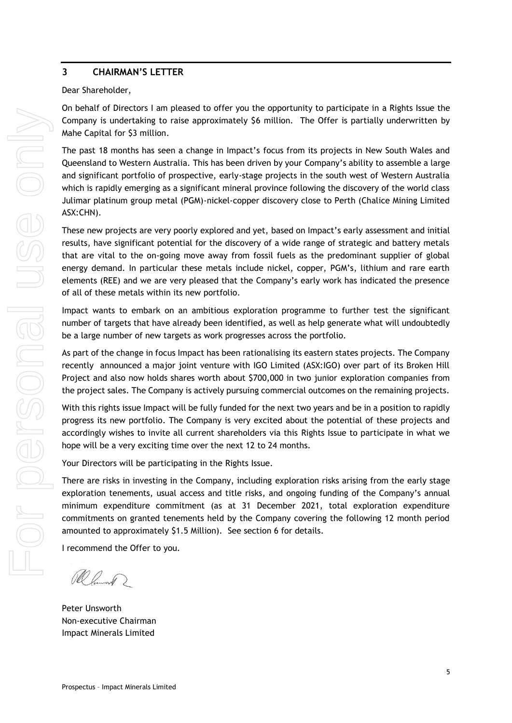# <span id="page-4-0"></span>**3 CHAIRMAN'S LETTER**

### Dear Shareholder,

On behalf of Directors I am pleased to offer you the opportunity to participate in a Rights Issue the Company is undertaking to raise approximately \$6 million. The Offer is partially underwritten by Mahe Capital for \$3 million.

The past 18 months has seen a change in Impact's focus from its projects in New South Wales and Queensland to Western Australia. This has been driven by your Company's ability to assemble a large and significant portfolio of prospective, early-stage projects in the south west of Western Australia which is rapidly emerging as a significant mineral province following the discovery of the world class Julimar platinum group metal (PGM)-nickel-copper discovery close to Perth (Chalice Mining Limited ASX:CHN).

These new projects are very poorly explored and yet, based on Impact's early assessment and initial results, have significant potential for the discovery of a wide range of strategic and battery metals that are vital to the on-going move away from fossil fuels as the predominant supplier of global energy demand. In particular these metals include nickel, copper, PGM's, lithium and rare earth elements (REE) and we are very pleased that the Company's early work has indicated the presence of all of these metals within its new portfolio.

Impact wants to embark on an ambitious exploration programme to further test the significant number of targets that have already been identified, as well as help generate what will undoubtedly be a large number of new targets as work progresses across the portfolio.

As part of the change in focus Impact has been rationalising its eastern states projects. The Company recently announced a major joint venture with IGO Limited (ASX:IGO) over part of its Broken Hill Project and also now holds shares worth about \$700,000 in two junior exploration companies from the project sales. The Company is actively pursuing commercial outcomes on the remaining projects.

With this rights issue Impact will be fully funded for the next two years and be in a position to rapidly progress its new portfolio. The Company is very excited about the potential of these projects and accordingly wishes to invite all current shareholders via this Rights Issue to participate in what we hope will be a very exciting time over the next 12 to 24 months.

Your Directors will be participating in the Rights Issue.

There are risks in investing in the Company, including exploration risks arising from the early stage exploration tenements, usual access and title risks, and ongoing funding of the Company's annual minimum expenditure commitment (as at 31 December 2021, total exploration expenditure commitments on granted tenements held by the Company covering the following 12 month period amounted to approximately \$1.5 Million). See section 6 for details.

I recommend the Offer to you.

Ramont 2

Peter Unsworth Non-executive Chairman Impact Minerals Limited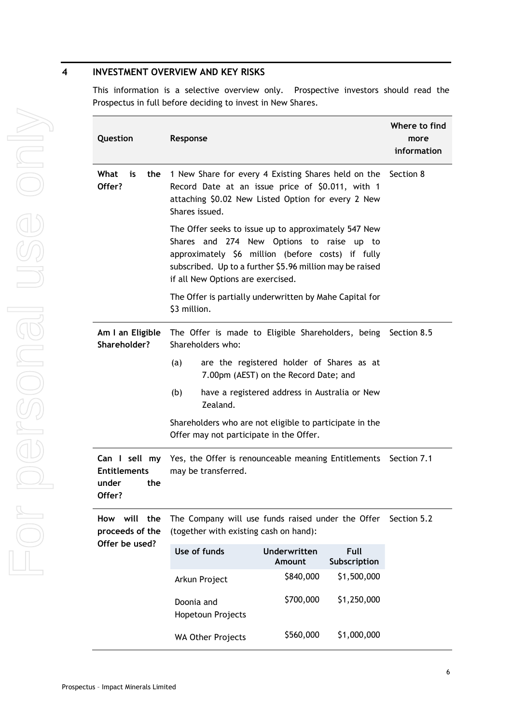# <span id="page-5-0"></span>**4 INVESTMENT OVERVIEW AND KEY RISKS**

This information is a selective overview only. Prospective investors should read the Prospectus in full before deciding to invest in New Shares.

| Question                                                                                                                                                 | Response                                                                                                                                                                                                                                                |                        |                      | Where to find<br>more<br>information |
|----------------------------------------------------------------------------------------------------------------------------------------------------------|---------------------------------------------------------------------------------------------------------------------------------------------------------------------------------------------------------------------------------------------------------|------------------------|----------------------|--------------------------------------|
| What<br>is<br>the<br>Offer?                                                                                                                              | 1 New Share for every 4 Existing Shares held on the Section 8<br>Record Date at an issue price of \$0.011, with 1<br>attaching \$0.02 New Listed Option for every 2 New<br>Shares issued.                                                               |                        |                      |                                      |
|                                                                                                                                                          | The Offer seeks to issue up to approximately 547 New<br>Shares and 274 New Options to raise up to<br>approximately \$6 million (before costs) if fully<br>subscribed. Up to a further \$5.96 million may be raised<br>if all New Options are exercised. |                        |                      |                                      |
|                                                                                                                                                          | The Offer is partially underwritten by Mahe Capital for<br>\$3 million.                                                                                                                                                                                 |                        |                      |                                      |
| Am I an Eligible<br>Shareholder?                                                                                                                         | The Offer is made to Eligible Shareholders, being Section 8.5<br>Shareholders who:                                                                                                                                                                      |                        |                      |                                      |
|                                                                                                                                                          | are the registered holder of Shares as at<br>(a)<br>7.00pm (AEST) on the Record Date; and                                                                                                                                                               |                        |                      |                                      |
|                                                                                                                                                          | (b)<br>have a registered address in Australia or New<br>Zealand.                                                                                                                                                                                        |                        |                      |                                      |
| Shareholders who are not eligible to participate in the<br>Offer may not participate in the Offer.                                                       |                                                                                                                                                                                                                                                         |                        |                      |                                      |
| Can I sell my<br>Yes, the Offer is renounceable meaning Entitlements Section 7.1<br><b>Entitlements</b><br>may be transferred.<br>the<br>under<br>Offer? |                                                                                                                                                                                                                                                         |                        |                      |                                      |
| will the<br>How<br>proceeds of the                                                                                                                       | The Company will use funds raised under the Offer Section 5.2<br>(together with existing cash on hand):                                                                                                                                                 |                        |                      |                                      |
| Offer be used?                                                                                                                                           | Use of funds                                                                                                                                                                                                                                            | Underwritten<br>Amount | Full<br>Subscription |                                      |
|                                                                                                                                                          | Arkun Project                                                                                                                                                                                                                                           | \$840,000              | \$1,500,000          |                                      |
|                                                                                                                                                          | Doonia and<br>Hopetoun Projects                                                                                                                                                                                                                         | \$700,000              | \$1,250,000          |                                      |
|                                                                                                                                                          | <b>WA Other Projects</b>                                                                                                                                                                                                                                | \$560,000              | \$1,000,000          |                                      |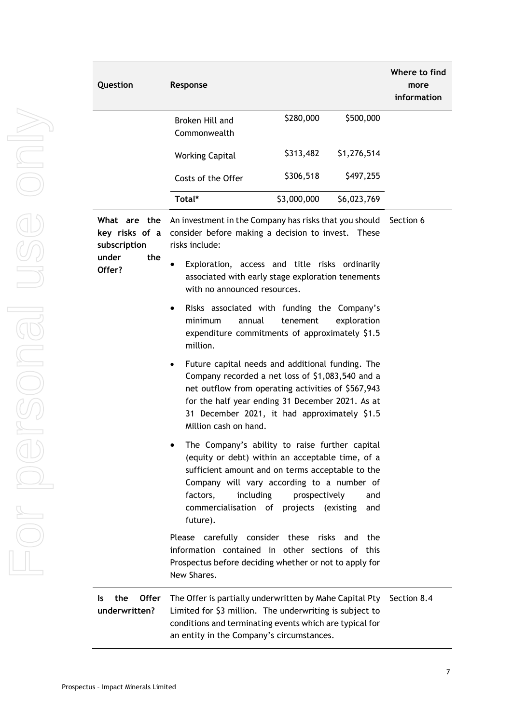| Question                                       | Response                                                                                                                                                                                                                                                                                |                                                                                                              | Where to find<br>more<br>information |             |  |
|------------------------------------------------|-----------------------------------------------------------------------------------------------------------------------------------------------------------------------------------------------------------------------------------------------------------------------------------------|--------------------------------------------------------------------------------------------------------------|--------------------------------------|-------------|--|
|                                                | Broken Hill and<br>Commonwealth                                                                                                                                                                                                                                                         | \$280,000                                                                                                    | \$500,000                            |             |  |
|                                                | <b>Working Capital</b>                                                                                                                                                                                                                                                                  | \$313,482                                                                                                    | \$1,276,514                          |             |  |
|                                                | Costs of the Offer                                                                                                                                                                                                                                                                      | \$306,518                                                                                                    | \$497,255                            |             |  |
|                                                | Total*                                                                                                                                                                                                                                                                                  | \$3,000,000                                                                                                  | \$6,023,769                          |             |  |
| What are the<br>key risks of a<br>subscription | risks include:                                                                                                                                                                                                                                                                          | An investment in the Company has risks that you should<br>consider before making a decision to invest. These |                                      |             |  |
| the<br>under<br>Offer?                         | Exploration, access and title risks ordinarily<br>associated with early stage exploration tenements<br>with no announced resources.                                                                                                                                                     |                                                                                                              |                                      |             |  |
|                                                | Risks associated with funding the Company's<br>٠<br>minimum<br>annual<br>expenditure commitments of approximately \$1.5<br>million.                                                                                                                                                     | tenement                                                                                                     | exploration                          |             |  |
|                                                | Future capital needs and additional funding. The<br>Company recorded a net loss of \$1,083,540 and a<br>net outflow from operating activities of \$567,943<br>for the half year ending 31 December 2021. As at<br>31 December 2021, it had approximately \$1.5<br>Million cash on hand. |                                                                                                              |                                      |             |  |
|                                                | The Company's ability to raise further capital<br>(equity or debt) within an acceptable time, of a<br>sufficient amount and on terms acceptable to the<br>Company will vary according to a number of<br>factors,<br>including<br>commercialisation of<br>future).                       | prospectively<br>projects (existing                                                                          | and<br>and                           |             |  |
|                                                | Please carefully consider these risks and<br>information contained in other sections of this<br>Prospectus before deciding whether or not to apply for<br>New Shares.                                                                                                                   |                                                                                                              | the                                  |             |  |
| <b>Offer</b><br>the<br>ls<br>underwritten?     | The Offer is partially underwritten by Mahe Capital Pty<br>Limited for \$3 million. The underwriting is subject to<br>conditions and terminating events which are typical for<br>an entity in the Company's circumstances.                                                              |                                                                                                              |                                      | Section 8.4 |  |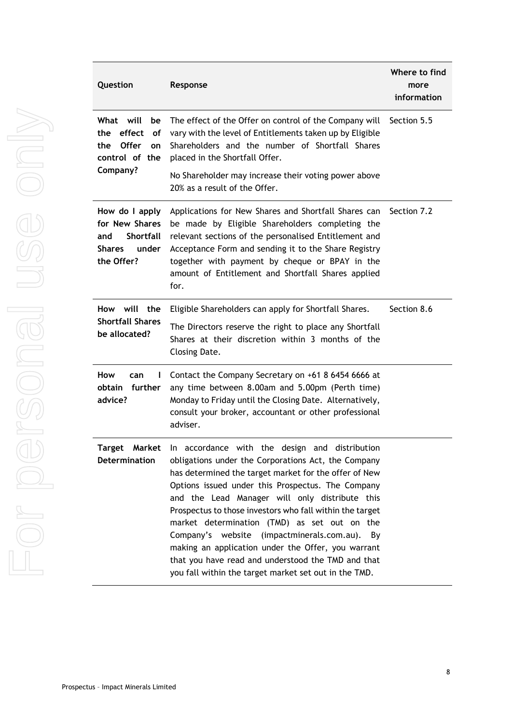| Question                                                                                            | Response                                                                                                                                                                                                                                                                                                                                                                                                                                                                                                                                                                                                   | Where to find<br>more<br>information |
|-----------------------------------------------------------------------------------------------------|------------------------------------------------------------------------------------------------------------------------------------------------------------------------------------------------------------------------------------------------------------------------------------------------------------------------------------------------------------------------------------------------------------------------------------------------------------------------------------------------------------------------------------------------------------------------------------------------------------|--------------------------------------|
| What will<br>be<br>effect<br>the<br>οf<br><b>Offer</b><br>the<br>on<br>control of the<br>Company?   | The effect of the Offer on control of the Company will<br>vary with the level of Entitlements taken up by Eligible<br>Shareholders and the number of Shortfall Shares<br>placed in the Shortfall Offer.                                                                                                                                                                                                                                                                                                                                                                                                    | Section 5.5                          |
|                                                                                                     | No Shareholder may increase their voting power above<br>20% as a result of the Offer.                                                                                                                                                                                                                                                                                                                                                                                                                                                                                                                      |                                      |
| How do I apply<br>for New Shares<br><b>Shortfall</b><br>and<br><b>Shares</b><br>under<br>the Offer? | Applications for New Shares and Shortfall Shares can<br>be made by Eligible Shareholders completing the<br>relevant sections of the personalised Entitlement and<br>Acceptance Form and sending it to the Share Registry<br>together with payment by cheque or BPAY in the<br>amount of Entitlement and Shortfall Shares applied<br>for.                                                                                                                                                                                                                                                                   | Section 7.2                          |
| How will the<br><b>Shortfall Shares</b><br>be allocated?                                            | Eligible Shareholders can apply for Shortfall Shares.<br>The Directors reserve the right to place any Shortfall<br>Shares at their discretion within 3 months of the<br>Closing Date.                                                                                                                                                                                                                                                                                                                                                                                                                      | Section 8.6                          |
| How<br>can<br>ı<br>obtain<br>further<br>advice?                                                     | Contact the Company Secretary on +61 8 6454 6666 at<br>any time between 8.00am and 5.00pm (Perth time)<br>Monday to Friday until the Closing Date. Alternatively,<br>consult your broker, accountant or other professional<br>adviser.                                                                                                                                                                                                                                                                                                                                                                     |                                      |
| Target<br>Market<br>Determination                                                                   | In accordance with the design and distribution<br>obligations under the Corporations Act, the Company<br>has determined the target market for the offer of New<br>Options issued under this Prospectus. The Company<br>and the Lead Manager will only distribute this<br>Prospectus to those investors who fall within the target<br>market determination (TMD) as set out on the<br>Company's website (impactminerals.com.au).<br>By<br>making an application under the Offer, you warrant<br>that you have read and understood the TMD and that<br>you fall within the target market set out in the TMD. |                                      |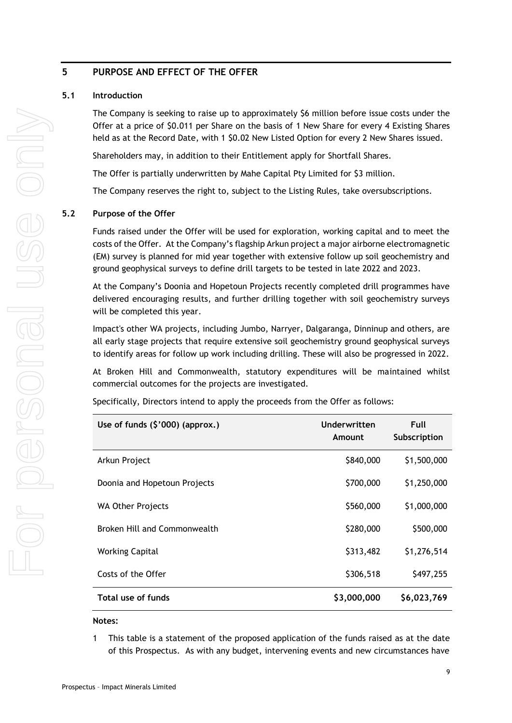# <span id="page-8-0"></span>**5 PURPOSE AND EFFECT OF THE OFFER**

# **5.1 Introduction**

The Company is seeking to raise up to approximately \$6 million before issue costs under the Offer at a price of \$0.011 per Share on the basis of 1 New Share for every 4 Existing Shares held as at the Record Date, with 1 \$0.02 New Listed Option for every 2 New Shares issued.

Shareholders may, in addition to their Entitlement apply for Shortfall Shares.

The Offer is partially underwritten by Mahe Capital Pty Limited for \$3 million.

The Company reserves the right to, subject to the Listing Rules, take oversubscriptions.

# <span id="page-8-1"></span>**5.2 Purpose of the Offer**

Funds raised under the Offer will be used for exploration, working capital and to meet the costs of the Offer. At the Company's flagship Arkun project a major airborne electromagnetic (EM) survey is planned for mid year together with extensive follow up soil geochemistry and ground geophysical surveys to define drill targets to be tested in late 2022 and 2023.

At the Company's Doonia and Hopetoun Projects recently completed drill programmes have delivered encouraging results, and further drilling together with soil geochemistry surveys will be completed this year.

Impact's other WA projects, including Jumbo, Narryer, Dalgaranga, Dinninup and others, are all early stage projects that require extensive soil geochemistry ground geophysical surveys to identify areas for follow up work including drilling. These will also be progressed in 2022.

At Broken Hill and Commonwealth, statutory expenditures will be maintained whilst commercial outcomes for the projects are investigated.

Specifically, Directors intend to apply the proceeds from the Offer as follows:

| Use of funds $(\frac{5}{000})$ (approx.) | Underwritten<br>Amount | Full<br>Subscription |
|------------------------------------------|------------------------|----------------------|
| Arkun Project                            | \$840,000              | \$1,500,000          |
| Doonia and Hopetoun Projects             | \$700,000              | \$1,250,000          |
| <b>WA Other Projects</b>                 | \$560,000              | \$1,000,000          |
| Broken Hill and Commonwealth             | \$280,000              | \$500,000            |
| <b>Working Capital</b>                   | \$313,482              | \$1,276,514          |
| Costs of the Offer                       | \$306,518              | \$497,255            |
| Total use of funds                       | \$3,000,000            | \$6,023,769          |

#### **Notes:**

1 This table is a statement of the proposed application of the funds raised as at the date of this Prospectus. As with any budget, intervening events and new circumstances have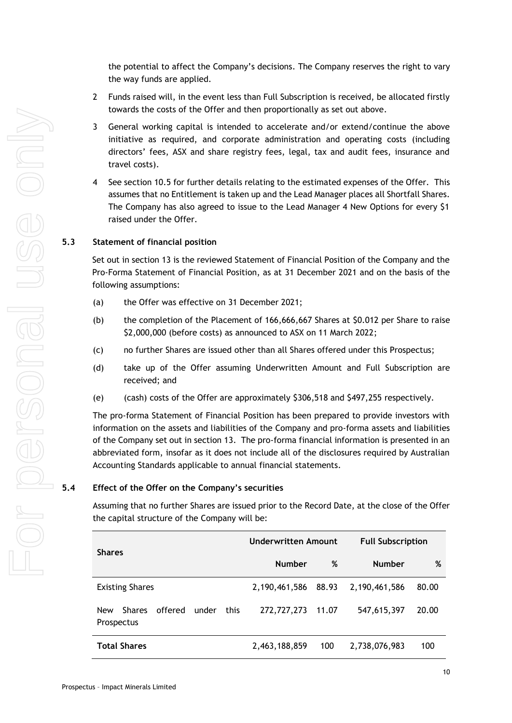the potential to affect the Company's decisions. The Company reserves the right to vary the way funds are applied.

- 2 Funds raised will, in the event less than Full Subscription is received, be allocated firstly towards the costs of the Offer and then proportionally as set out above.
- 3 General working capital is intended to accelerate and/or extend/continue the above initiative as required, and corporate administration and operating costs (including directors' fees, ASX and share registry fees, legal, tax and audit fees, insurance and travel costs).
- 4 See section [10.5](#page-36-0) for further details relating to the estimated expenses of the Offer. This assumes that no Entitlement is taken up and the Lead Manager places all Shortfall Shares. The Company has also agreed to issue to the Lead Manager 4 New Options for every \$1 raised under the Offer.

## **5.3 Statement of financial position**

Set out in section [13](#page-40-0) is the reviewed Statement of Financial Position of the Company and the Pro-Forma Statement of Financial Position, as at 31 December 2021 and on the basis of the following assumptions:

- (a) the Offer was effective on 31 December 2021;
- (b) the completion of the Placement of 166,666,667 Shares at \$0.012 per Share to raise \$2,000,000 (before costs) as announced to ASX on 11 March 2022;
- (c) no further Shares are issued other than all Shares offered under this Prospectus;
- (d) take up of the Offer assuming Underwritten Amount and Full Subscription are received; and
- (e) (cash) costs of the Offer are approximately \$306,518 and \$497,255 respectively.

The pro-forma Statement of Financial Position has been prepared to provide investors with information on the assets and liabilities of the Company and pro-forma assets and liabilities of the Company set out in section [13.](#page-40-0) The pro-forma financial information is presented in an abbreviated form, insofar as it does not include all of the disclosures required by Australian Accounting Standards applicable to annual financial statements.

# **5.4 Effect of the Offer on the Company's securities**

Assuming that no further Shares are issued prior to the Record Date, at the close of the Offer the capital structure of the Company will be:

| <b>Shares</b>                                                         | <b>Underwritten Amount</b> |       | <b>Full Subscription</b> |       |
|-----------------------------------------------------------------------|----------------------------|-------|--------------------------|-------|
|                                                                       | <b>Number</b>              | %     | <b>Number</b>            | %     |
| <b>Existing Shares</b>                                                | 2,190,461,586 88.93        |       | 2,190,461,586            | 80.00 |
| offered<br>under<br>this<br><b>New</b><br><b>Shares</b><br>Prospectus | 272,727,273                | 11.07 | 547,615,397              | 20.00 |
| <b>Total Shares</b>                                                   | 2,463,188,859              | 100   | 2,738,076,983            | 100   |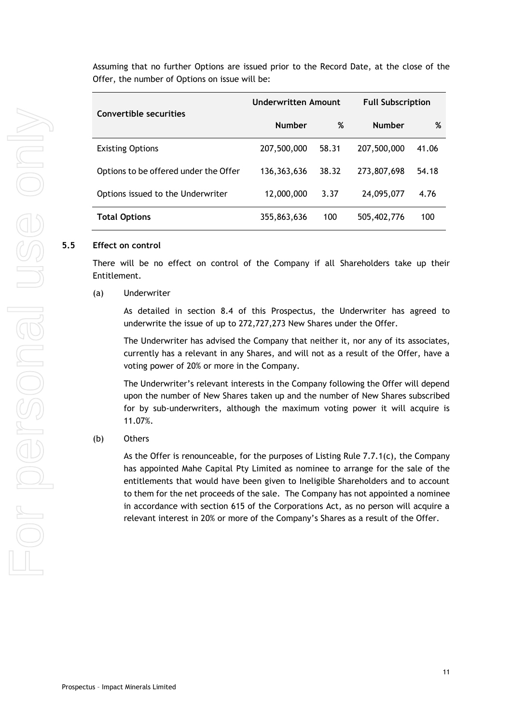Assuming that no further Options are issued prior to the Record Date, at the close of the Offer, the number of Options on issue will be:

| Convertible securities                | Underwritten Amount |       | <b>Full Subscription</b> |       |
|---------------------------------------|---------------------|-------|--------------------------|-------|
|                                       | <b>Number</b>       | %     | <b>Number</b>            | %     |
| <b>Existing Options</b>               | 207,500,000         | 58.31 | 207,500,000              | 41.06 |
| Options to be offered under the Offer | 136,363,636         | 38.32 | 273,807,698              | 54.18 |
| Options issued to the Underwriter     | 12,000,000          | 3.37  | 24,095,077               | 4.76  |
| <b>Total Options</b>                  | 355,863,636         | 100   | 505,402,776              | 100   |

#### **5.5 Effect on control**

There will be no effect on control of the Company if all Shareholders take up their Entitlement.

#### (a) Underwriter

As detailed in section [8.4](#page-20-1) of this Prospectus, the Underwriter has agreed to underwrite the issue of up to 272,727,273 New Shares under the Offer.

The Underwriter has advised the Company that neither it, nor any of its associates, currently has a relevant in any Shares, and will not as a result of the Offer, have a voting power of 20% or more in the Company.

The Underwriter's relevant interests in the Company following the Offer will depend upon the number of New Shares taken up and the number of New Shares subscribed for by sub-underwriters, although the maximum voting power it will acquire is 11.07%.

#### (b) Others

As the Offer is renounceable, for the purposes of Listing Rule 7.7.1(c), the Company has appointed Mahe Capital Pty Limited as nominee to arrange for the sale of the entitlements that would have been given to Ineligible Shareholders and to account to them for the net proceeds of the sale. The Company has not appointed a nominee in accordance with section 615 of the Corporations Act, as no person will acquire a relevant interest in 20% or more of the Company's Shares as a result of the Offer.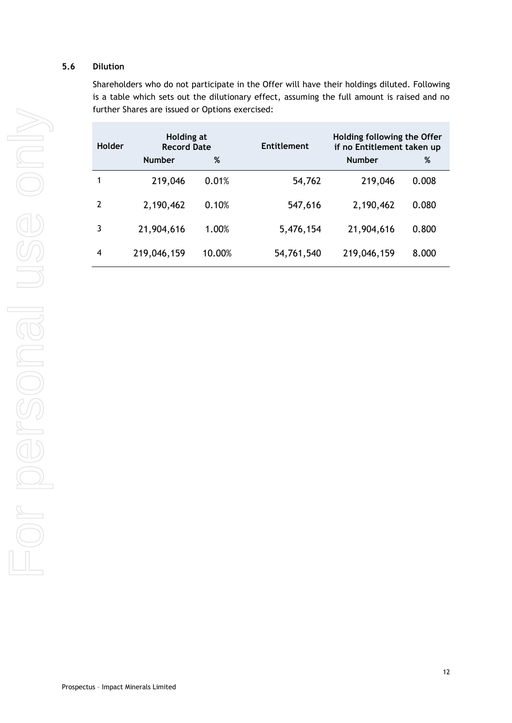# **5.6 Dilution**

Shareholders who do not participate in the Offer will have their holdings diluted. Following is a table which sets out the dilutionary effect, assuming the full amount is raised and no further Shares are issued or Options exercised:

| Holder         | Holding at<br><b>Record Date</b> |        | <b>Entitlement</b> | Holding following the Offer<br>if no Entitlement taken up |       |
|----------------|----------------------------------|--------|--------------------|-----------------------------------------------------------|-------|
|                | <b>Number</b>                    | %      |                    | <b>Number</b>                                             | %     |
| $\mathbf 1$    | 219,046                          | 0.01%  | 54,762             | 219,046                                                   | 0.008 |
| 2              | 2,190,462                        | 0.10%  | 547,616            | 2,190,462                                                 | 0.080 |
| $\overline{3}$ | 21,904,616                       | 1.00%  | 5,476,154          | 21,904,616                                                | 0.800 |
| $\overline{4}$ | 219,046,159                      | 10.00% | 54,761,540         | 219,046,159                                               | 8.000 |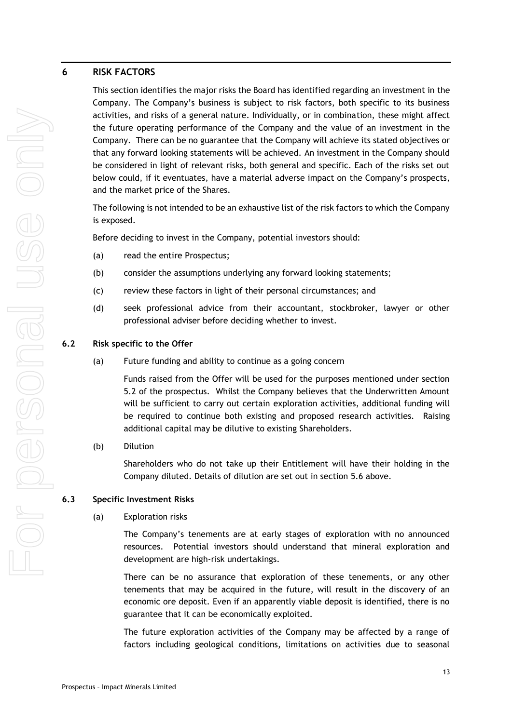# <span id="page-12-0"></span>**6 RISK FACTORS**

This section identifies the major risks the Board has identified regarding an investment in the Company. The Company's business is subject to risk factors, both specific to its business activities, and risks of a general nature. Individually, or in combination, these might affect the future operating performance of the Company and the value of an investment in the Company. There can be no guarantee that the Company will achieve its stated objectives or that any forward looking statements will be achieved. An investment in the Company should be considered in light of relevant risks, both general and specific. Each of the risks set out below could, if it eventuates, have a material adverse impact on the Company's prospects, and the market price of the Shares.

The following is not intended to be an exhaustive list of the risk factors to which the Company is exposed.

Before deciding to invest in the Company, potential investors should:

- (a) read the entire Prospectus;
- (b) consider the assumptions underlying any forward looking statements;
- (c) review these factors in light of their personal circumstances; and
- (d) seek professional advice from their accountant, stockbroker, lawyer or other professional adviser before deciding whether to invest.

## **6.2 Risk specific to the Offer**

(a) Future funding and ability to continue as a going concern

Funds raised from the Offer will be used for the purposes mentioned under section [5.2](#page-8-1) of the prospectus. Whilst the Company believes that the Underwritten Amount will be sufficient to carry out certain exploration activities, additional funding will be required to continue both existing and proposed research activities. Raising additional capital may be dilutive to existing Shareholders.

## (b) Dilution

Shareholders who do not take up their Entitlement will have their holding in the Company diluted. Details of dilution are set out in section 5.6 above.

## **6.3 Specific Investment Risks**

## (a) Exploration risks

The Company's tenements are at early stages of exploration with no announced resources. Potential investors should understand that mineral exploration and development are high-risk undertakings.

There can be no assurance that exploration of these tenements, or any other tenements that may be acquired in the future, will result in the discovery of an economic ore deposit. Even if an apparently viable deposit is identified, there is no guarantee that it can be economically exploited.

The future exploration activities of the Company may be affected by a range of factors including geological conditions, limitations on activities due to seasonal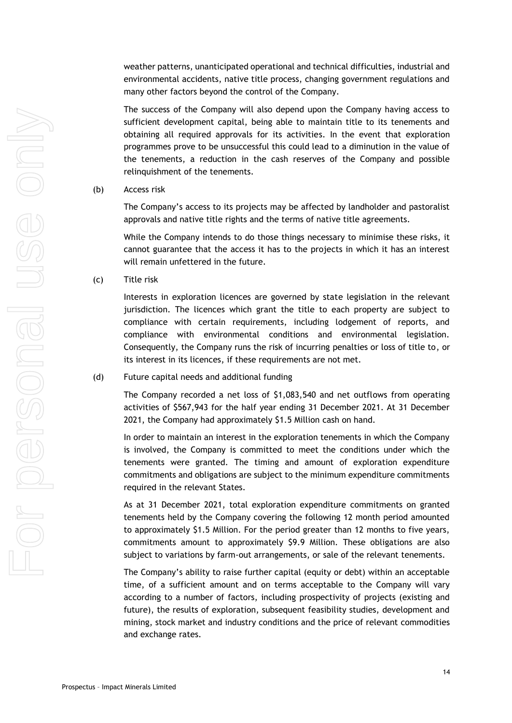weather patterns, unanticipated operational and technical difficulties, industrial and environmental accidents, native title process, changing government regulations and many other factors beyond the control of the Company.

The success of the Company will also depend upon the Company having access to sufficient development capital, being able to maintain title to its tenements and obtaining all required approvals for its activities. In the event that exploration programmes prove to be unsuccessful this could lead to a diminution in the value of the tenements, a reduction in the cash reserves of the Company and possible relinquishment of the tenements.

#### (b) Access risk

The Company's access to its projects may be affected by landholder and pastoralist approvals and native title rights and the terms of native title agreements.

While the Company intends to do those things necessary to minimise these risks, it cannot guarantee that the access it has to the projects in which it has an interest will remain unfettered in the future.

(c) Title risk

Interests in exploration licences are governed by state legislation in the relevant jurisdiction. The licences which grant the title to each property are subject to compliance with certain requirements, including lodgement of reports, and compliance with environmental conditions and environmental legislation. Consequently, the Company runs the risk of incurring penalties or loss of title to, or its interest in its licences, if these requirements are not met.

#### (d) Future capital needs and additional funding

The Company recorded a net loss of \$1,083,540 and net outflows from operating activities of \$567,943 for the half year ending 31 December 2021. At 31 December 2021, the Company had approximately \$1.5 Million cash on hand.

In order to maintain an interest in the exploration tenements in which the Company is involved, the Company is committed to meet the conditions under which the tenements were granted. The timing and amount of exploration expenditure commitments and obligations are subject to the minimum expenditure commitments required in the relevant States.

As at 31 December 2021, total exploration expenditure commitments on granted tenements held by the Company covering the following 12 month period amounted to approximately \$1.5 Million. For the period greater than 12 months to five years, commitments amount to approximately \$9.9 Million. These obligations are also subject to variations by farm-out arrangements, or sale of the relevant tenements.

The Company's ability to raise further capital (equity or debt) within an acceptable time, of a sufficient amount and on terms acceptable to the Company will vary according to a number of factors, including prospectivity of projects (existing and future), the results of exploration, subsequent feasibility studies, development and mining, stock market and industry conditions and the price of relevant commodities and exchange rates.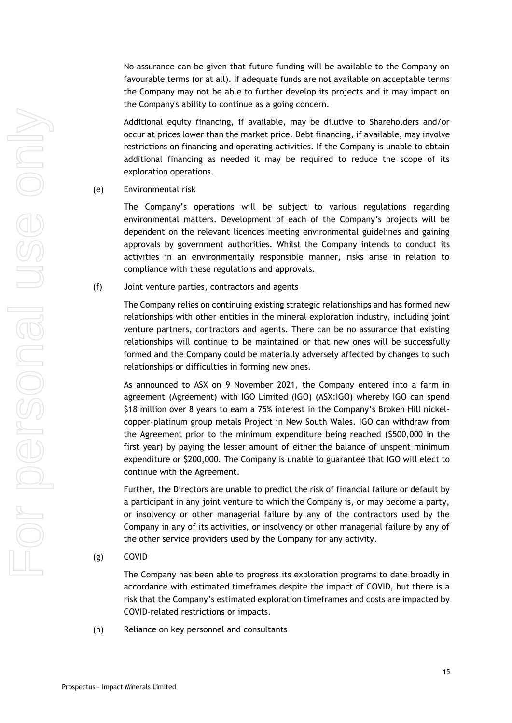No assurance can be given that future funding will be available to the Company on favourable terms (or at all). If adequate funds are not available on acceptable terms the Company may not be able to further develop its projects and it may impact on the Company's ability to continue as a going concern.

Additional equity financing, if available, may be dilutive to Shareholders and/or occur at prices lower than the market price. Debt financing, if available, may involve restrictions on financing and operating activities. If the Company is unable to obtain additional financing as needed it may be required to reduce the scope of its exploration operations.

(e) Environmental risk

The Company's operations will be subject to various regulations regarding environmental matters. Development of each of the Company's projects will be dependent on the relevant licences meeting environmental guidelines and gaining approvals by government authorities. Whilst the Company intends to conduct its activities in an environmentally responsible manner, risks arise in relation to compliance with these regulations and approvals.

(f) Joint venture parties, contractors and agents

The Company relies on continuing existing strategic relationships and has formed new relationships with other entities in the mineral exploration industry, including joint venture partners, contractors and agents. There can be no assurance that existing relationships will continue to be maintained or that new ones will be successfully formed and the Company could be materially adversely affected by changes to such relationships or difficulties in forming new ones.

As announced to ASX on 9 November 2021, the Company entered into a farm in agreement (Agreement) with IGO Limited (IGO) (ASX:IGO) whereby IGO can spend \$18 million over 8 years to earn a 75% interest in the Company's Broken Hill nickelcopper-platinum group metals Project in New South Wales. IGO can withdraw from the Agreement prior to the minimum expenditure being reached (\$500,000 in the first year) by paying the lesser amount of either the balance of unspent minimum expenditure or \$200,000. The Company is unable to guarantee that IGO will elect to continue with the Agreement.

Further, the Directors are unable to predict the risk of financial failure or default by a participant in any joint venture to which the Company is, or may become a party, or insolvency or other managerial failure by any of the contractors used by the Company in any of its activities, or insolvency or other managerial failure by any of the other service providers used by the Company for any activity.

(g) COVID

The Company has been able to progress its exploration programs to date broadly in accordance with estimated timeframes despite the impact of COVID, but there is a risk that the Company's estimated exploration timeframes and costs are impacted by COVID-related restrictions or impacts.

(h) Reliance on key personnel and consultants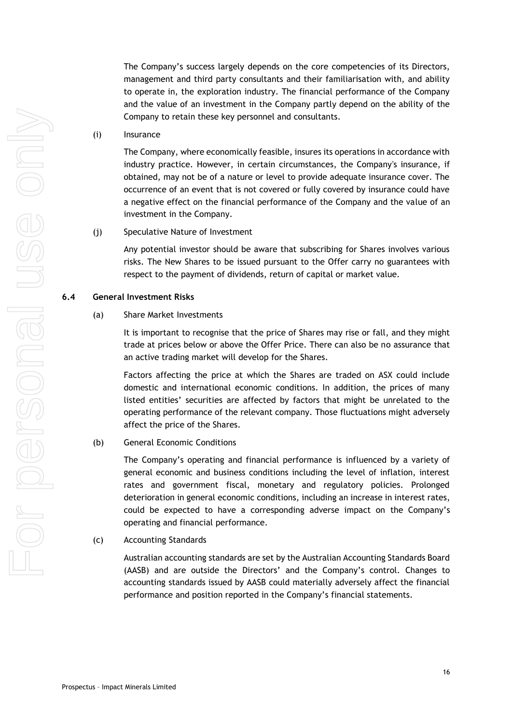The Company's success largely depends on the core competencies of its Directors, management and third party consultants and their familiarisation with, and ability to operate in, the exploration industry. The financial performance of the Company and the value of an investment in the Company partly depend on the ability of the Company to retain these key personnel and consultants.

#### (i) Insurance

The Company, where economically feasible, insures its operations in accordance with industry practice. However, in certain circumstances, the Company's insurance, if obtained, may not be of a nature or level to provide adequate insurance cover. The occurrence of an event that is not covered or fully covered by insurance could have a negative effect on the financial performance of the Company and the value of an investment in the Company.

#### (j) Speculative Nature of Investment

Any potential investor should be aware that subscribing for Shares involves various risks. The New Shares to be issued pursuant to the Offer carry no guarantees with respect to the payment of dividends, return of capital or market value.

### **6.4 General Investment Risks**

#### (a) Share Market Investments

It is important to recognise that the price of Shares may rise or fall, and they might trade at prices below or above the Offer Price. There can also be no assurance that an active trading market will develop for the Shares.

Factors affecting the price at which the Shares are traded on ASX could include domestic and international economic conditions. In addition, the prices of many listed entities' securities are affected by factors that might be unrelated to the operating performance of the relevant company. Those fluctuations might adversely affect the price of the Shares.

# (b) General Economic Conditions

The Company's operating and financial performance is influenced by a variety of general economic and business conditions including the level of inflation, interest rates and government fiscal, monetary and regulatory policies. Prolonged deterioration in general economic conditions, including an increase in interest rates, could be expected to have a corresponding adverse impact on the Company's operating and financial performance.

(c) Accounting Standards

Australian accounting standards are set by the Australian Accounting Standards Board (AASB) and are outside the Directors' and the Company's control. Changes to accounting standards issued by AASB could materially adversely affect the financial performance and position reported in the Company's financial statements.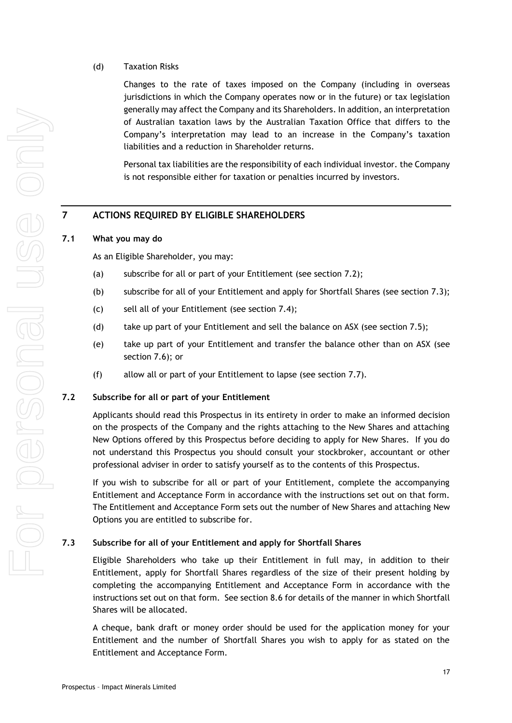# (d) Taxation Risks

Changes to the rate of taxes imposed on the Company (including in overseas jurisdictions in which the Company operates now or in the future) or tax legislation generally may affect the Company and its Shareholders. In addition, an interpretation of Australian taxation laws by the Australian Taxation Office that differs to the Company's interpretation may lead to an increase in the Company's taxation liabilities and a reduction in Shareholder returns.

Personal tax liabilities are the responsibility of each individual investor. the Company is not responsible either for taxation or penalties incurred by investors.

# <span id="page-16-0"></span>**7 ACTIONS REQUIRED BY ELIGIBLE SHAREHOLDERS**

# <span id="page-16-1"></span>**7.1 What you may do**

As an Eligible Shareholder, you may:

- (a) subscribe for all or part of your Entitlement (see section [7.2\)](#page-16-2);
- (b) subscribe for all of your Entitlement and apply for Shortfall Shares (see section [7.3\)](#page-16-3);
- (c) sell all of your Entitlement (see section [7.4\)](#page-17-0);
- (d) take up part of your Entitlement and sell the balance on ASX (see section [7.5\)](#page-17-1);
- (e) take up part of your Entitlement and transfer the balance other than on ASX (see section [7.6\)](#page-17-2); or
- (f) allow all or part of your Entitlement to lapse (see section [7.7\)](#page-17-3).

## <span id="page-16-2"></span>**7.2 Subscribe for all or part of your Entitlement**

Applicants should read this Prospectus in its entirety in order to make an informed decision on the prospects of the Company and the rights attaching to the New Shares and attaching New Options offered by this Prospectus before deciding to apply for New Shares. If you do not understand this Prospectus you should consult your stockbroker, accountant or other professional adviser in order to satisfy yourself as to the contents of this Prospectus.

If you wish to subscribe for all or part of your Entitlement, complete the accompanying Entitlement and Acceptance Form in accordance with the instructions set out on that form. The Entitlement and Acceptance Form sets out the number of New Shares and attaching New Options you are entitled to subscribe for.

# <span id="page-16-3"></span>**7.3 Subscribe for all of your Entitlement and apply for Shortfall Shares**

Eligible Shareholders who take up their Entitlement in full may, in addition to their Entitlement, apply for Shortfall Shares regardless of the size of their present holding by completing the accompanying Entitlement and Acceptance Form in accordance with the instructions set out on that form. See section [8.6](#page-23-0) for details of the manner in which Shortfall Shares will be allocated.

A cheque, bank draft or money order should be used for the application money for your Entitlement and the number of Shortfall Shares you wish to apply for as stated on the Entitlement and Acceptance Form.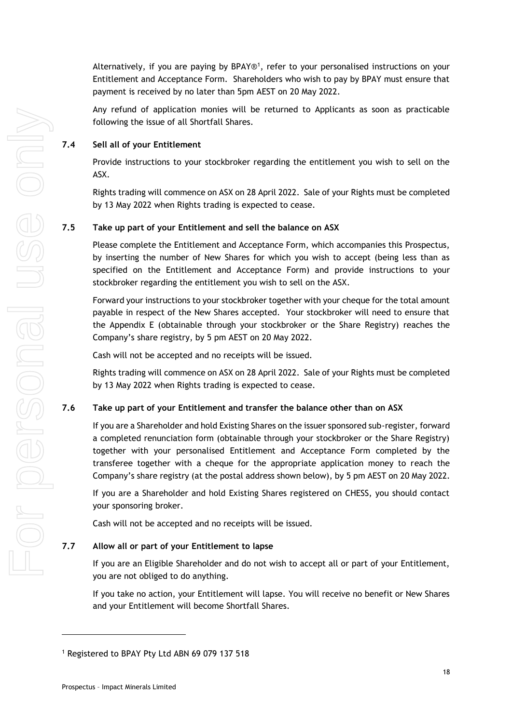Alternatively, if you are paying by BPAY®<sup>1</sup>, refer to your personalised instructions on your Entitlement and Acceptance Form. Shareholders who wish to pay by BPAY must ensure that payment is received by no later than 5pm AEST on 20 May 2022.

Any refund of application monies will be returned to Applicants as soon as practicable following the issue of all Shortfall Shares.

# <span id="page-17-0"></span>**7.4 Sell all of your Entitlement**

Provide instructions to your stockbroker regarding the entitlement you wish to sell on the ASX.

Rights trading will commence on ASX on 28 April 2022. Sale of your Rights must be completed by 13 May 2022 when Rights trading is expected to cease.

# <span id="page-17-1"></span>**7.5 Take up part of your Entitlement and sell the balance on ASX**

Please complete the Entitlement and Acceptance Form, which accompanies this Prospectus, by inserting the number of New Shares for which you wish to accept (being less than as specified on the Entitlement and Acceptance Form) and provide instructions to your stockbroker regarding the entitlement you wish to sell on the ASX.

Forward your instructions to your stockbroker together with your cheque for the total amount payable in respect of the New Shares accepted. Your stockbroker will need to ensure that the Appendix E (obtainable through your stockbroker or the Share Registry) reaches the Company's share registry, by 5 pm AEST on 20 May 2022.

Cash will not be accepted and no receipts will be issued.

Rights trading will commence on ASX on 28 April 2022. Sale of your Rights must be completed by 13 May 2022 when Rights trading is expected to cease.

## <span id="page-17-2"></span>**7.6 Take up part of your Entitlement and transfer the balance other than on ASX**

If you are a Shareholder and hold Existing Shares on the issuer sponsored sub-register, forward a completed renunciation form (obtainable through your stockbroker or the Share Registry) together with your personalised Entitlement and Acceptance Form completed by the transferee together with a cheque for the appropriate application money to reach the Company's share registry (at the postal address shown below), by 5 pm AEST on 20 May 2022.

If you are a Shareholder and hold Existing Shares registered on CHESS, you should contact your sponsoring broker.

Cash will not be accepted and no receipts will be issued.

## <span id="page-17-3"></span>**7.7 Allow all or part of your Entitlement to lapse**

If you are an Eligible Shareholder and do not wish to accept all or part of your Entitlement, you are not obliged to do anything.

If you take no action, your Entitlement will lapse. You will receive no benefit or New Shares and your Entitlement will become Shortfall Shares.

<sup>1</sup> Registered to BPAY Pty Ltd ABN 69 079 137 518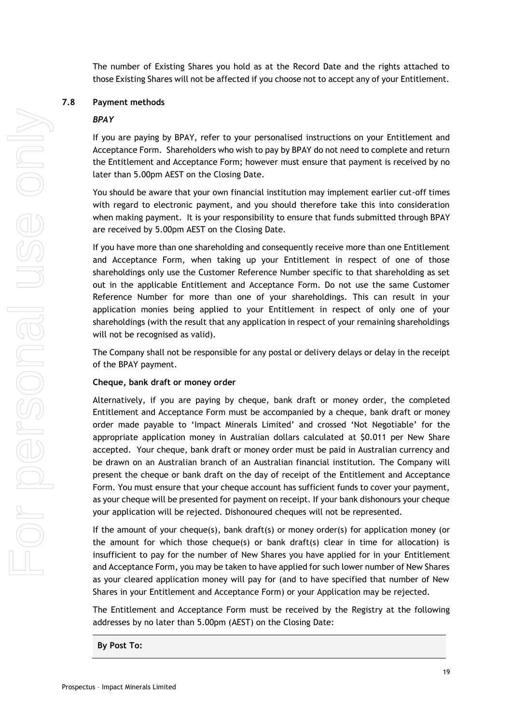The number of Existing Shares you hold as at the Record Date and the rights attached to those Existing Shares will not be affected if you choose not to accept any of your Entitlement.

### <span id="page-18-0"></span>**7.8 Payment methods**

#### *BPAY*

If you are paying by BPAY, refer to your personalised instructions on your Entitlement and Acceptance Form. Shareholders who wish to pay by BPAY do not need to complete and return the Entitlement and Acceptance Form; however must ensure that payment is received by no later than 5.00pm AEST on the Closing Date.

You should be aware that your own financial institution may implement earlier cut-off times with regard to electronic payment, and you should therefore take this into consideration when making payment. It is your responsibility to ensure that funds submitted through BPAY are received by 5.00pm AEST on the Closing Date.

If you have more than one shareholding and consequently receive more than one Entitlement and Acceptance Form, when taking up your Entitlement in respect of one of those shareholdings only use the Customer Reference Number specific to that shareholding as set out in the applicable Entitlement and Acceptance Form. Do not use the same Customer Reference Number for more than one of your shareholdings. This can result in your application monies being applied to your Entitlement in respect of only one of your shareholdings (with the result that any application in respect of your remaining shareholdings will not be recognised as valid).

The Company shall not be responsible for any postal or delivery delays or delay in the receipt of the BPAY payment.

#### **Cheque, bank draft or money order**

Alternatively, if you are paying by cheque, bank draft or money order, the completed Entitlement and Acceptance Form must be accompanied by a cheque, bank draft or money order made payable to 'Impact Minerals Limited' and crossed 'Not Negotiable' for the appropriate application money in Australian dollars calculated at \$0.011 per New Share accepted. Your cheque, bank draft or money order must be paid in Australian currency and be drawn on an Australian branch of an Australian financial institution. The Company will present the cheque or bank draft on the day of receipt of the Entitlement and Acceptance Form. You must ensure that your cheque account has sufficient funds to cover your payment, as your cheque will be presented for payment on receipt. If your bank dishonours your cheque your application will be rejected. Dishonoured cheques will not be represented.

If the amount of your cheque(s), bank draft(s) or money order(s) for application money (or the amount for which those cheque(s) or bank draft(s) clear in time for allocation) is insufficient to pay for the number of New Shares you have applied for in your Entitlement and Acceptance Form, you may be taken to have applied for such lower number of New Shares as your cleared application money will pay for (and to have specified that number of New Shares in your Entitlement and Acceptance Form) or your Application may be rejected.

The Entitlement and Acceptance Form must be received by the Registry at the following addresses by no later than 5.00pm (AEST) on the Closing Date:

**By Post To:**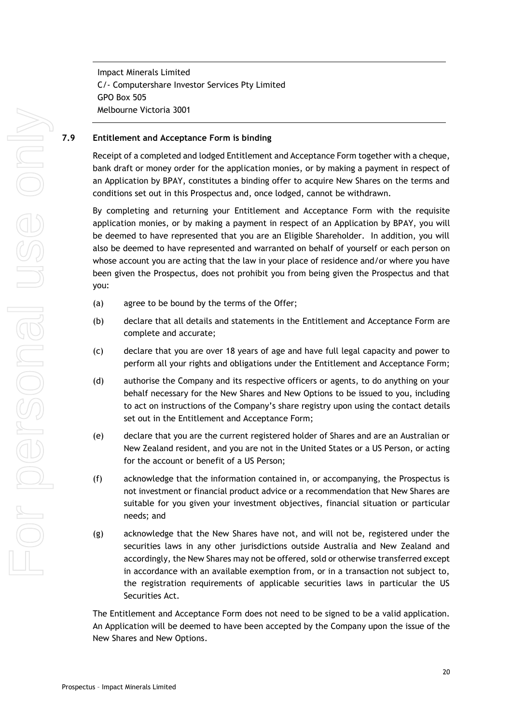Impact Minerals Limited C/- Computershare Investor Services Pty Limited GPO Box 505 Melbourne Victoria 3001

### **7.9 Entitlement and Acceptance Form is binding**

Receipt of a completed and lodged Entitlement and Acceptance Form together with a cheque, bank draft or money order for the application monies, or by making a payment in respect of an Application by BPAY, constitutes a binding offer to acquire New Shares on the terms and conditions set out in this Prospectus and, once lodged, cannot be withdrawn.

By completing and returning your Entitlement and Acceptance Form with the requisite application monies, or by making a payment in respect of an Application by BPAY, you will be deemed to have represented that you are an Eligible Shareholder. In addition, you will also be deemed to have represented and warranted on behalf of yourself or each person on whose account you are acting that the law in your place of residence and/or where you have been given the Prospectus, does not prohibit you from being given the Prospectus and that you:

- (a) agree to be bound by the terms of the Offer;
- (b) declare that all details and statements in the Entitlement and Acceptance Form are complete and accurate;
- (c) declare that you are over 18 years of age and have full legal capacity and power to perform all your rights and obligations under the Entitlement and Acceptance Form;
- (d) authorise the Company and its respective officers or agents, to do anything on your behalf necessary for the New Shares and New Options to be issued to you, including to act on instructions of the Company's share registry upon using the contact details set out in the Entitlement and Acceptance Form;
- (e) declare that you are the current registered holder of Shares and are an Australian or New Zealand resident, and you are not in the United States or a US Person, or acting for the account or benefit of a US Person;
- (f) acknowledge that the information contained in, or accompanying, the Prospectus is not investment or financial product advice or a recommendation that New Shares are suitable for you given your investment objectives, financial situation or particular needs; and
- (g) acknowledge that the New Shares have not, and will not be, registered under the securities laws in any other jurisdictions outside Australia and New Zealand and accordingly, the New Shares may not be offered, sold or otherwise transferred except in accordance with an available exemption from, or in a transaction not subject to, the registration requirements of applicable securities laws in particular the US Securities Act.

The Entitlement and Acceptance Form does not need to be signed to be a valid application. An Application will be deemed to have been accepted by the Company upon the issue of the New Shares and New Options.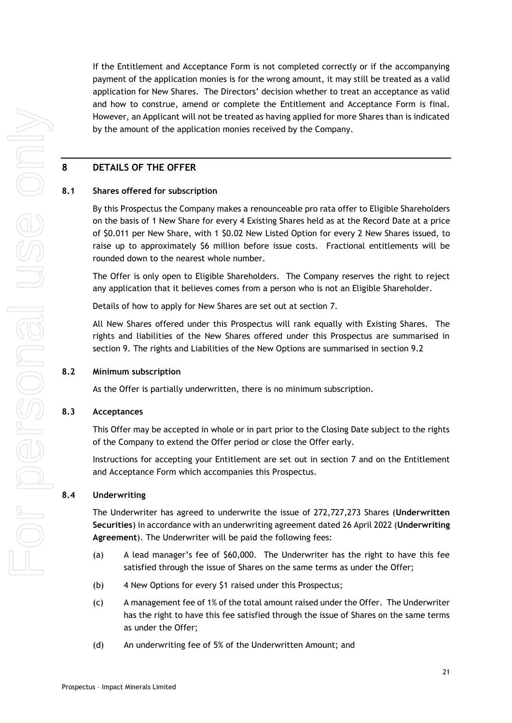If the Entitlement and Acceptance Form is not completed correctly or if the accompanying payment of the application monies is for the wrong amount, it may still be treated as a valid application for New Shares. The Directors' decision whether to treat an acceptance as valid and how to construe, amend or complete the Entitlement and Acceptance Form is final. However, an Applicant will not be treated as having applied for more Shares than is indicated by the amount of the application monies received by the Company.

# <span id="page-20-0"></span>**8 DETAILS OF THE OFFER**

## **8.1 Shares offered for subscription**

By this Prospectus the Company makes a renounceable pro rata offer to Eligible Shareholders on the basis of 1 New Share for every 4 Existing Shares held as at the Record Date at a price of \$0.011 per New Share, with 1 \$0.02 New Listed Option for every 2 New Shares issued, to raise up to approximately \$6 million before issue costs. Fractional entitlements will be rounded down to the nearest whole number.

The Offer is only open to Eligible Shareholders. The Company reserves the right to reject any application that it believes comes from a person who is not an Eligible Shareholder.

Details of how to apply for New Shares are set out at section [7.](#page-16-0)

All New Shares offered under this Prospectus will rank equally with Existing Shares. The rights and liabilities of the New Shares offered under this Prospectus are summarised in section [9.](#page-27-0) The rights and Liabilities of the New Options are summarised in section 9.2

## **8.2 Minimum subscription**

As the Offer is partially underwritten, there is no minimum subscription.

## **8.3 Acceptances**

This Offer may be accepted in whole or in part prior to the Closing Date subject to the rights of the Company to extend the Offer period or close the Offer early.

Instructions for accepting your Entitlement are set out in section [7](#page-16-0) and on the Entitlement and Acceptance Form which accompanies this Prospectus.

## <span id="page-20-1"></span>**8.4 Underwriting**

The Underwriter has agreed to underwrite the issue of 272,727,273 Shares (**Underwritten Securities**) in accordance with an underwriting agreement dated 26 April 2022 (**Underwriting Agreement**). The Underwriter will be paid the following fees:

- (a) A lead manager's fee of \$60,000. The Underwriter has the right to have this fee satisfied through the issue of Shares on the same terms as under the Offer;
- (b) 4 New Options for every \$1 raised under this Prospectus;
- (c) A management fee of 1% of the total amount raised under the Offer. The Underwriter has the right to have this fee satisfied through the issue of Shares on the same terms as under the Offer;
- (d) An underwriting fee of 5% of the Underwritten Amount; and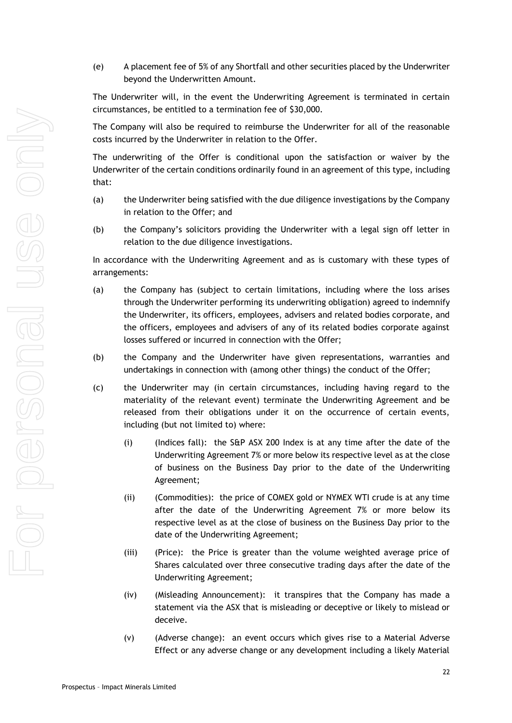(e) A placement fee of 5% of any Shortfall and other securities placed by the Underwriter beyond the Underwritten Amount.

The Underwriter will, in the event the Underwriting Agreement is terminated in certain circumstances, be entitled to a termination fee of \$30,000.

The Company will also be required to reimburse the Underwriter for all of the reasonable costs incurred by the Underwriter in relation to the Offer.

The underwriting of the Offer is conditional upon the satisfaction or waiver by the Underwriter of the certain conditions ordinarily found in an agreement of this type, including that:

- (a) the Underwriter being satisfied with the due diligence investigations by the Company in relation to the Offer; and
- (b) the Company's solicitors providing the Underwriter with a legal sign off letter in relation to the due diligence investigations.

In accordance with the Underwriting Agreement and as is customary with these types of arrangements:

- (a) the Company has (subject to certain limitations, including where the loss arises through the Underwriter performing its underwriting obligation) agreed to indemnify the Underwriter, its officers, employees, advisers and related bodies corporate, and the officers, employees and advisers of any of its related bodies corporate against losses suffered or incurred in connection with the Offer;
- (b) the Company and the Underwriter have given representations, warranties and undertakings in connection with (among other things) the conduct of the Offer;
- (c) the Underwriter may (in certain circumstances, including having regard to the materiality of the relevant event) terminate the Underwriting Agreement and be released from their obligations under it on the occurrence of certain events, including (but not limited to) where:
	- (i) (Indices fall): the S&P ASX 200 Index is at any time after the date of the Underwriting Agreement 7% or more below its respective level as at the close of business on the Business Day prior to the date of the Underwriting Agreement;
	- (ii) (Commodities): the price of COMEX gold or NYMEX WTI crude is at any time after the date of the Underwriting Agreement 7% or more below its respective level as at the close of business on the Business Day prior to the date of the Underwriting Agreement;
	- (iii) (Price): the Price is greater than the volume weighted average price of Shares calculated over three consecutive trading days after the date of the Underwriting Agreement;
	- (iv) (Misleading Announcement): it transpires that the Company has made a statement via the ASX that is misleading or deceptive or likely to mislead or deceive.
	- (v) (Adverse change): an event occurs which gives rise to a Material Adverse Effect or any adverse change or any development including a likely Material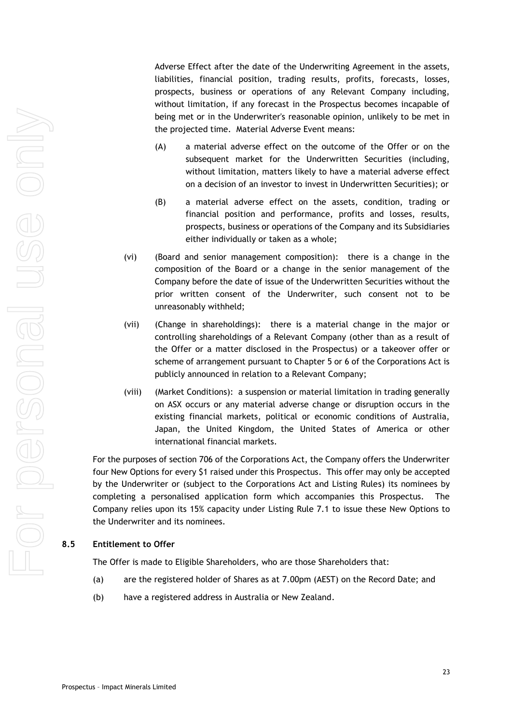Adverse Effect after the date of the Underwriting Agreement in the assets, liabilities, financial position, trading results, profits, forecasts, losses, prospects, business or operations of any Relevant Company including, without limitation, if any forecast in the Prospectus becomes incapable of being met or in the Underwriter's reasonable opinion, unlikely to be met in the projected time. Material Adverse Event means:

- (A) a material adverse effect on the outcome of the Offer or on the subsequent market for the Underwritten Securities (including, without limitation, matters likely to have a material adverse effect on a decision of an investor to invest in Underwritten Securities); or
- (B) a material adverse effect on the assets, condition, trading or financial position and performance, profits and losses, results, prospects, business or operations of the Company and its Subsidiaries either individually or taken as a whole;
- (vi) (Board and senior management composition): there is a change in the composition of the Board or a change in the senior management of the Company before the date of issue of the Underwritten Securities without the prior written consent of the Underwriter, such consent not to be unreasonably withheld;
- (vii) (Change in shareholdings): there is a material change in the major or controlling shareholdings of a Relevant Company (other than as a result of the Offer or a matter disclosed in the Prospectus) or a takeover offer or scheme of arrangement pursuant to Chapter 5 or 6 of the Corporations Act is publicly announced in relation to a Relevant Company;
- (viii) (Market Conditions): a suspension or material limitation in trading generally on ASX occurs or any material adverse change or disruption occurs in the existing financial markets, political or economic conditions of Australia, Japan, the United Kingdom, the United States of America or other international financial markets.

For the purposes of section 706 of the Corporations Act, the Company offers the Underwriter four New Options for every \$1 raised under this Prospectus. This offer may only be accepted by the Underwriter or (subject to the Corporations Act and Listing Rules) its nominees by completing a personalised application form which accompanies this Prospectus. The Company relies upon its 15% capacity under Listing Rule 7.1 to issue these New Options to the Underwriter and its nominees.

## **8.5 Entitlement to Offer**

The Offer is made to Eligible Shareholders, who are those Shareholders that:

- (a) are the registered holder of Shares as at 7.00pm (AEST) on the Record Date; and
- (b) have a registered address in Australia or New Zealand.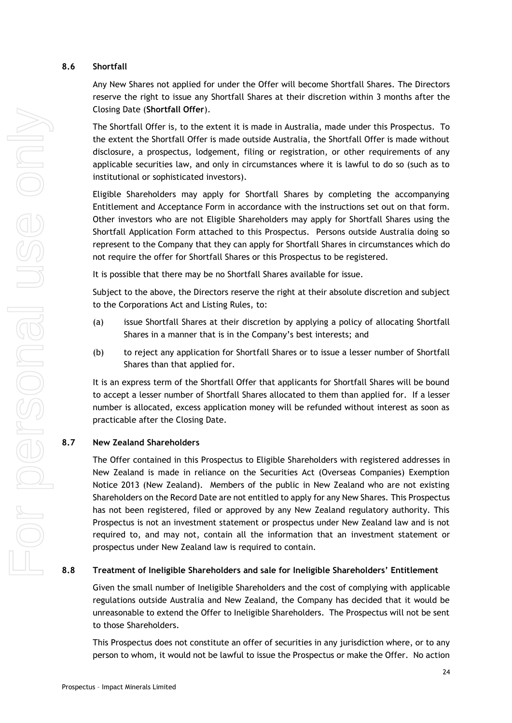# <span id="page-23-0"></span>**8.6 Shortfall**

Any New Shares not applied for under the Offer will become Shortfall Shares. The Directors reserve the right to issue any Shortfall Shares at their discretion within 3 months after the Closing Date (**Shortfall Offer**).

The Shortfall Offer is, to the extent it is made in Australia, made under this Prospectus. To the extent the Shortfall Offer is made outside Australia, the Shortfall Offer is made without disclosure, a prospectus, lodgement, filing or registration, or other requirements of any applicable securities law, and only in circumstances where it is lawful to do so (such as to institutional or sophisticated investors).

Eligible Shareholders may apply for Shortfall Shares by completing the accompanying Entitlement and Acceptance Form in accordance with the instructions set out on that form. Other investors who are not Eligible Shareholders may apply for Shortfall Shares using the Shortfall Application Form attached to this Prospectus. Persons outside Australia doing so represent to the Company that they can apply for Shortfall Shares in circumstances which do not require the offer for Shortfall Shares or this Prospectus to be registered.

It is possible that there may be no Shortfall Shares available for issue.

Subject to the above, the Directors reserve the right at their absolute discretion and subject to the Corporations Act and Listing Rules, to:

- (a) issue Shortfall Shares at their discretion by applying a policy of allocating Shortfall Shares in a manner that is in the Company's best interests; and
- (b) to reject any application for Shortfall Shares or to issue a lesser number of Shortfall Shares than that applied for.

It is an express term of the Shortfall Offer that applicants for Shortfall Shares will be bound to accept a lesser number of Shortfall Shares allocated to them than applied for. If a lesser number is allocated, excess application money will be refunded without interest as soon as practicable after the Closing Date.

# **8.7 New Zealand Shareholders**

The Offer contained in this Prospectus to Eligible Shareholders with registered addresses in New Zealand is made in reliance on the Securities Act (Overseas Companies) Exemption Notice 2013 (New Zealand). Members of the public in New Zealand who are not existing Shareholders on the Record Date are not entitled to apply for any New Shares. This Prospectus has not been registered, filed or approved by any New Zealand regulatory authority. This Prospectus is not an investment statement or prospectus under New Zealand law and is not required to, and may not, contain all the information that an investment statement or prospectus under New Zealand law is required to contain.

# <span id="page-23-1"></span>**8.8 Treatment of Ineligible Shareholders and sale for Ineligible Shareholders' Entitlement**

Given the small number of Ineligible Shareholders and the cost of complying with applicable regulations outside Australia and New Zealand, the Company has decided that it would be unreasonable to extend the Offer to Ineligible Shareholders. The Prospectus will not be sent to those Shareholders.

This Prospectus does not constitute an offer of securities in any jurisdiction where, or to any person to whom, it would not be lawful to issue the Prospectus or make the Offer. No action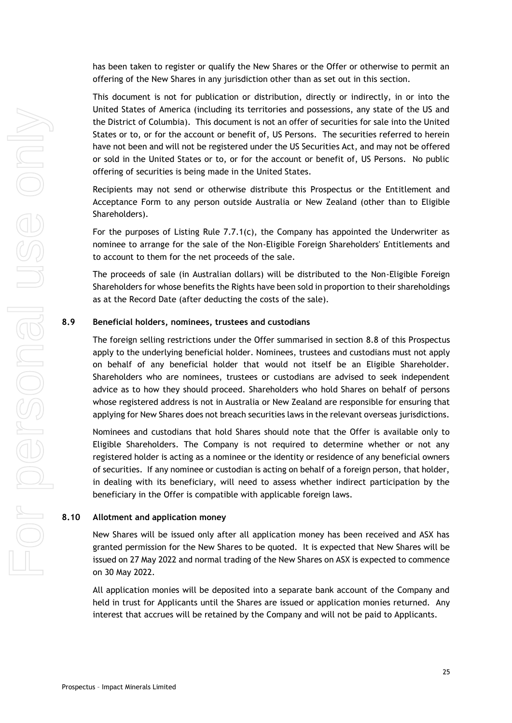has been taken to register or qualify the New Shares or the Offer or otherwise to permit an offering of the New Shares in any jurisdiction other than as set out in this section.

This document is not for publication or distribution, directly or indirectly, in or into the United States of America (including its territories and possessions, any state of the US and the District of Columbia). This document is not an offer of securities for sale into the United States or to, or for the account or benefit of, US Persons. The securities referred to herein have not been and will not be registered under the US Securities Act, and may not be offered or sold in the United States or to, or for the account or benefit of, US Persons. No public offering of securities is being made in the United States.

Recipients may not send or otherwise distribute this Prospectus or the Entitlement and Acceptance Form to any person outside Australia or New Zealand (other than to Eligible Shareholders).

For the purposes of Listing Rule 7.7.1(c), the Company has appointed the Underwriter as nominee to arrange for the sale of the Non-Eligible Foreign Shareholders' Entitlements and to account to them for the net proceeds of the sale.

The proceeds of sale (in Australian dollars) will be distributed to the Non-Eligible Foreign Shareholders for whose benefits the Rights have been sold in proportion to their shareholdings as at the Record Date (after deducting the costs of the sale).

### **8.9 Beneficial holders, nominees, trustees and custodians**

The foreign selling restrictions under the Offer summarised in section [8.8](#page-23-1) of this Prospectus apply to the underlying beneficial holder. Nominees, trustees and custodians must not apply on behalf of any beneficial holder that would not itself be an Eligible Shareholder. Shareholders who are nominees, trustees or custodians are advised to seek independent advice as to how they should proceed. Shareholders who hold Shares on behalf of persons whose registered address is not in Australia or New Zealand are responsible for ensuring that applying for New Shares does not breach securities laws in the relevant overseas jurisdictions.

Nominees and custodians that hold Shares should note that the Offer is available only to Eligible Shareholders. The Company is not required to determine whether or not any registered holder is acting as a nominee or the identity or residence of any beneficial owners of securities. If any nominee or custodian is acting on behalf of a foreign person, that holder, in dealing with its beneficiary, will need to assess whether indirect participation by the beneficiary in the Offer is compatible with applicable foreign laws.

### **8.10 Allotment and application money**

New Shares will be issued only after all application money has been received and ASX has granted permission for the New Shares to be quoted. It is expected that New Shares will be issued on 27 May 2022 and normal trading of the New Shares on ASX is expected to commence on 30 May 2022.

All application monies will be deposited into a separate bank account of the Company and held in trust for Applicants until the Shares are issued or application monies returned. Any interest that accrues will be retained by the Company and will not be paid to Applicants.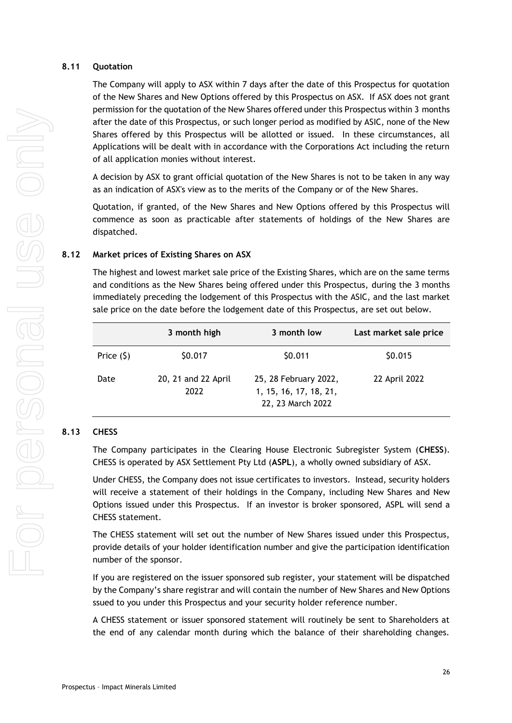# **8.11 Quotation**

The Company will apply to ASX within 7 days after the date of this Prospectus for quotation of the New Shares and New Options offered by this Prospectus on ASX. If ASX does not grant permission for the quotation of the New Shares offered under this Prospectus within 3 months after the date of this Prospectus, or such longer period as modified by ASIC, none of the New Shares offered by this Prospectus will be allotted or issued. In these circumstances, all Applications will be dealt with in accordance with the Corporations Act including the return of all application monies without interest.

A decision by ASX to grant official quotation of the New Shares is not to be taken in any way as an indication of ASX's view as to the merits of the Company or of the New Shares.

Quotation, if granted, of the New Shares and New Options offered by this Prospectus will commence as soon as practicable after statements of holdings of the New Shares are dispatched.

# **8.12 Market prices of Existing Shares on ASX**

The highest and lowest market sale price of the Existing Shares, which are on the same terms and conditions as the New Shares being offered under this Prospectus, during the 3 months immediately preceding the lodgement of this Prospectus with the ASIC, and the last market sale price on the date before the lodgement date of this Prospectus, are set out below.

|             | 3 month high                | 3 month low                                                          | Last market sale price |
|-------------|-----------------------------|----------------------------------------------------------------------|------------------------|
| Price $(5)$ | \$0.017                     | \$0.011                                                              | \$0.015                |
| Date        | 20, 21 and 22 April<br>2022 | 25, 28 February 2022,<br>1, 15, 16, 17, 18, 21,<br>22, 23 March 2022 | 22 April 2022          |

# **8.13 CHESS**

The Company participates in the Clearing House Electronic Subregister System (**CHESS**). CHESS is operated by ASX Settlement Pty Ltd (**ASPL**), a wholly owned subsidiary of ASX.

Under CHESS, the Company does not issue certificates to investors. Instead, security holders will receive a statement of their holdings in the Company, including New Shares and New Options issued under this Prospectus. If an investor is broker sponsored, ASPL will send a CHESS statement.

The CHESS statement will set out the number of New Shares issued under this Prospectus, provide details of your holder identification number and give the participation identification number of the sponsor.

If you are registered on the issuer sponsored sub register, your statement will be dispatched by the Company's share registrar and will contain the number of New Shares and New Options ssued to you under this Prospectus and your security holder reference number.

A CHESS statement or issuer sponsored statement will routinely be sent to Shareholders at the end of any calendar month during which the balance of their shareholding changes.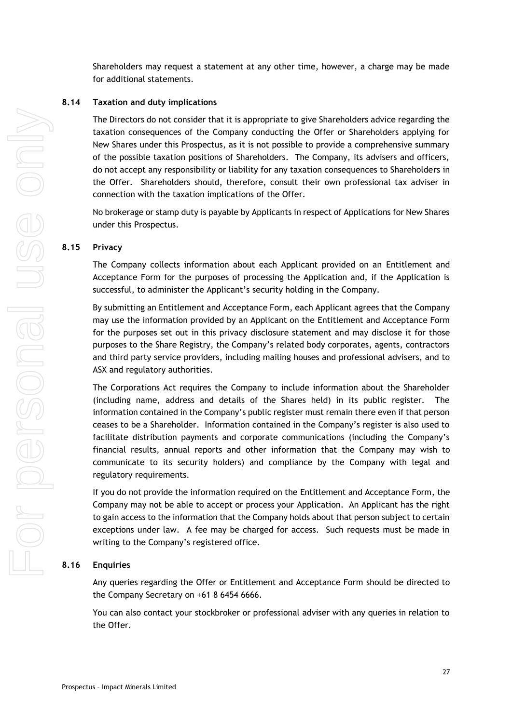Shareholders may request a statement at any other time, however, a charge may be made for additional statements.

#### **8.14 Taxation and duty implications**

The Directors do not consider that it is appropriate to give Shareholders advice regarding the taxation consequences of the Company conducting the Offer or Shareholders applying for New Shares under this Prospectus, as it is not possible to provide a comprehensive summary of the possible taxation positions of Shareholders. The Company, its advisers and officers, do not accept any responsibility or liability for any taxation consequences to Shareholders in the Offer. Shareholders should, therefore, consult their own professional tax adviser in connection with the taxation implications of the Offer.

No brokerage or stamp duty is payable by Applicants in respect of Applications for New Shares under this Prospectus.

#### <span id="page-26-0"></span>**8.15 Privacy**

The Company collects information about each Applicant provided on an Entitlement and Acceptance Form for the purposes of processing the Application and, if the Application is successful, to administer the Applicant's security holding in the Company.

By submitting an Entitlement and Acceptance Form, each Applicant agrees that the Company may use the information provided by an Applicant on the Entitlement and Acceptance Form for the purposes set out in this privacy disclosure statement and may disclose it for those purposes to the Share Registry, the Company's related body corporates, agents, contractors and third party service providers, including mailing houses and professional advisers, and to ASX and regulatory authorities.

The Corporations Act requires the Company to include information about the Shareholder (including name, address and details of the Shares held) in its public register. The information contained in the Company's public register must remain there even if that person ceases to be a Shareholder. Information contained in the Company's register is also used to facilitate distribution payments and corporate communications (including the Company's financial results, annual reports and other information that the Company may wish to communicate to its security holders) and compliance by the Company with legal and regulatory requirements.

If you do not provide the information required on the Entitlement and Acceptance Form, the Company may not be able to accept or process your Application. An Applicant has the right to gain access to the information that the Company holds about that person subject to certain exceptions under law. A fee may be charged for access. Such requests must be made in writing to the Company's registered office.

# **8.16 Enquiries**

Any queries regarding the Offer or Entitlement and Acceptance Form should be directed to the Company Secretary on +61 8 6454 6666.

You can also contact your stockbroker or professional adviser with any queries in relation to the Offer.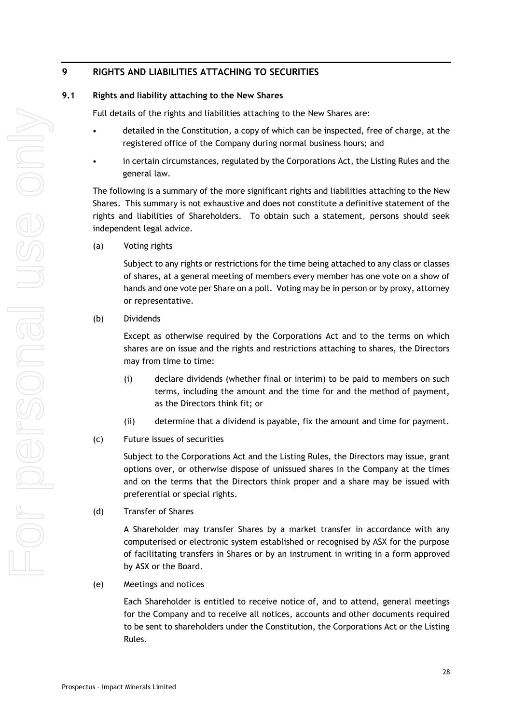# <span id="page-27-0"></span>**9 RIGHTS AND LIABILITIES ATTACHING TO SECURITIES**

## **9.1 Rights and liability attaching to the New Shares**

Full details of the rights and liabilities attaching to the New Shares are:

- detailed in the Constitution, a copy of which can be inspected, free of charge, at the registered office of the Company during normal business hours; and
- in certain circumstances, regulated by the Corporations Act, the Listing Rules and the general law.

The following is a summary of the more significant rights and liabilities attaching to the New Shares. This summary is not exhaustive and does not constitute a definitive statement of the rights and liabilities of Shareholders. To obtain such a statement, persons should seek independent legal advice.

(a) Voting rights

Subject to any rights or restrictions for the time being attached to any class or classes of shares, at a general meeting of members every member has one vote on a show of hands and one vote per Share on a poll. Voting may be in person or by proxy, attorney or representative.

(b) Dividends

Except as otherwise required by the Corporations Act and to the terms on which shares are on issue and the rights and restrictions attaching to shares, the Directors may from time to time:

- (i) declare dividends (whether final or interim) to be paid to members on such terms, including the amount and the time for and the method of payment, as the Directors think fit; or
- (ii) determine that a dividend is payable, fix the amount and time for payment.
- (c) Future issues of securities

Subject to the Corporations Act and the Listing Rules, the Directors may issue, grant options over, or otherwise dispose of unissued shares in the Company at the times and on the terms that the Directors think proper and a share may be issued with preferential or special rights.

(d) Transfer of Shares

A Shareholder may transfer Shares by a market transfer in accordance with any computerised or electronic system established or recognised by ASX for the purpose of facilitating transfers in Shares or by an instrument in writing in a form approved by ASX or the Board.

(e) Meetings and notices

Each Shareholder is entitled to receive notice of, and to attend, general meetings for the Company and to receive all notices, accounts and other documents required to be sent to shareholders under the Constitution, the Corporations Act or the Listing Rules.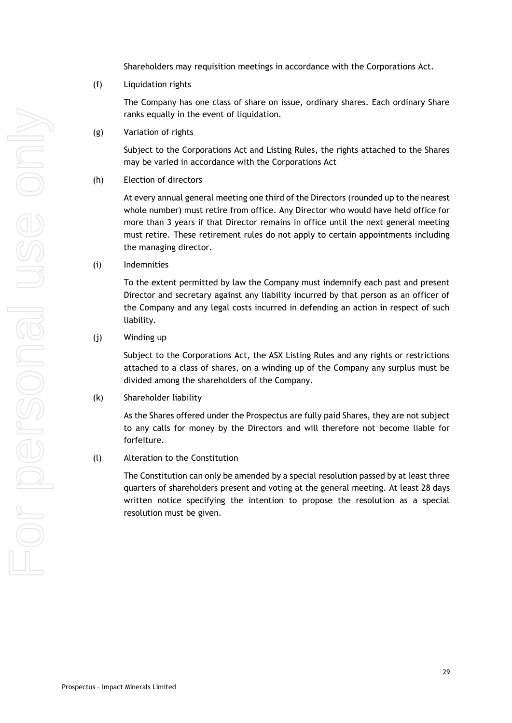Shareholders may requisition meetings in accordance with the Corporations Act.

# (f) Liquidation rights

The Company has one class of share on issue, ordinary shares. Each ordinary Share ranks equally in the event of liquidation.

(g) Variation of rights

Subject to the Corporations Act and Listing Rules, the rights attached to the Shares may be varied in accordance with the Corporations Act

(h) Election of directors

At every annual general meeting one third of the Directors (rounded up to the nearest whole number) must retire from office. Any Director who would have held office for more than 3 years if that Director remains in office until the next general meeting must retire. These retirement rules do not apply to certain appointments including the managing director.

(i) Indemnities

To the extent permitted by law the Company must indemnify each past and present Director and secretary against any liability incurred by that person as an officer of the Company and any legal costs incurred in defending an action in respect of such liability.

(j) Winding up

Subject to the Corporations Act, the ASX Listing Rules and any rights or restrictions attached to a class of shares, on a winding up of the Company any surplus must be divided among the shareholders of the Company.

(k) Shareholder liability

As the Shares offered under the Prospectus are fully paid Shares, they are not subject to any calls for money by the Directors and will therefore not become liable for forfeiture.

# (l) Alteration to the Constitution

The Constitution can only be amended by a special resolution passed by at least three quarters of shareholders present and voting at the general meeting. At least 28 days written notice specifying the intention to propose the resolution as a special resolution must be given.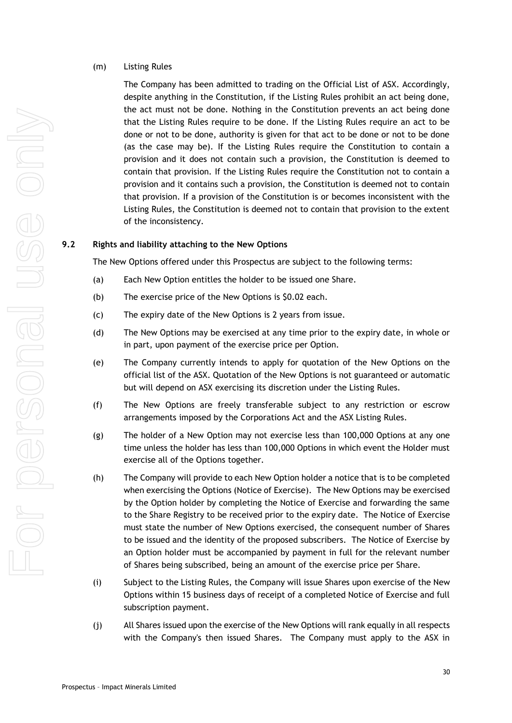### (m) Listing Rules

The Company has been admitted to trading on the Official List of ASX. Accordingly, despite anything in the Constitution, if the Listing Rules prohibit an act being done, the act must not be done. Nothing in the Constitution prevents an act being done that the Listing Rules require to be done. If the Listing Rules require an act to be done or not to be done, authority is given for that act to be done or not to be done (as the case may be). If the Listing Rules require the Constitution to contain a provision and it does not contain such a provision, the Constitution is deemed to contain that provision. If the Listing Rules require the Constitution not to contain a provision and it contains such a provision, the Constitution is deemed not to contain that provision. If a provision of the Constitution is or becomes inconsistent with the Listing Rules, the Constitution is deemed not to contain that provision to the extent of the inconsistency.

# **9.2 Rights and liability attaching to the New Options**

The New Options offered under this Prospectus are subject to the following terms:

- (a) Each New Option entitles the holder to be issued one Share.
- (b) The exercise price of the New Options is \$0.02 each.
- (c) The expiry date of the New Options is 2 years from issue.
- (d) The New Options may be exercised at any time prior to the expiry date, in whole or in part, upon payment of the exercise price per Option.
- (e) The Company currently intends to apply for quotation of the New Options on the official list of the ASX. Quotation of the New Options is not guaranteed or automatic but will depend on ASX exercising its discretion under the Listing Rules.
- (f) The New Options are freely transferable subject to any restriction or escrow arrangements imposed by the Corporations Act and the ASX Listing Rules.
- (g) The holder of a New Option may not exercise less than 100,000 Options at any one time unless the holder has less than 100,000 Options in which event the Holder must exercise all of the Options together.
- (h) The Company will provide to each New Option holder a notice that is to be completed when exercising the Options (Notice of Exercise). The New Options may be exercised by the Option holder by completing the Notice of Exercise and forwarding the same to the Share Registry to be received prior to the expiry date. The Notice of Exercise must state the number of New Options exercised, the consequent number of Shares to be issued and the identity of the proposed subscribers. The Notice of Exercise by an Option holder must be accompanied by payment in full for the relevant number of Shares being subscribed, being an amount of the exercise price per Share.
- (i) Subject to the Listing Rules, the Company will issue Shares upon exercise of the New Options within 15 business days of receipt of a completed Notice of Exercise and full subscription payment.
- (j) All Shares issued upon the exercise of the New Options will rank equally in all respects with the Company's then issued Shares. The Company must apply to the ASX in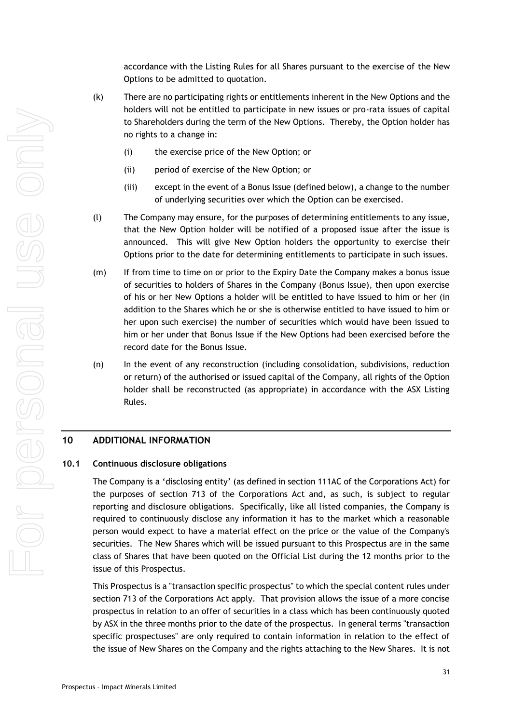accordance with the Listing Rules for all Shares pursuant to the exercise of the New Options to be admitted to quotation.

- (k) There are no participating rights or entitlements inherent in the New Options and the holders will not be entitled to participate in new issues or pro-rata issues of capital to Shareholders during the term of the New Options. Thereby, the Option holder has no rights to a change in:
	- (i) the exercise price of the New Option; or
	- (ii) period of exercise of the New Option; or
	- (iii) except in the event of a Bonus Issue (defined below), a change to the number of underlying securities over which the Option can be exercised.
- (l) The Company may ensure, for the purposes of determining entitlements to any issue, that the New Option holder will be notified of a proposed issue after the issue is announced. This will give New Option holders the opportunity to exercise their Options prior to the date for determining entitlements to participate in such issues.
- (m) If from time to time on or prior to the Expiry Date the Company makes a bonus issue of securities to holders of Shares in the Company (Bonus Issue), then upon exercise of his or her New Options a holder will be entitled to have issued to him or her (in addition to the Shares which he or she is otherwise entitled to have issued to him or her upon such exercise) the number of securities which would have been issued to him or her under that Bonus Issue if the New Options had been exercised before the record date for the Bonus Issue.
- (n) In the event of any reconstruction (including consolidation, subdivisions, reduction or return) of the authorised or issued capital of the Company, all rights of the Option holder shall be reconstructed (as appropriate) in accordance with the ASX Listing Rules.

# <span id="page-30-0"></span>**10 ADDITIONAL INFORMATION**

#### **10.1 Continuous disclosure obligations**

The Company is a 'disclosing entity' (as defined in section 111AC of the Corporations Act) for the purposes of section 713 of the Corporations Act and, as such, is subject to regular reporting and disclosure obligations. Specifically, like all listed companies, the Company is required to continuously disclose any information it has to the market which a reasonable person would expect to have a material effect on the price or the value of the Company's securities. The New Shares which will be issued pursuant to this Prospectus are in the same class of Shares that have been quoted on the Official List during the 12 months prior to the issue of this Prospectus.

This Prospectus is a "transaction specific prospectus" to which the special content rules under section 713 of the Corporations Act apply. That provision allows the issue of a more concise prospectus in relation to an offer of securities in a class which has been continuously quoted by ASX in the three months prior to the date of the prospectus. In general terms "transaction specific prospectuses" are only required to contain information in relation to the effect of the issue of New Shares on the Company and the rights attaching to the New Shares. It is not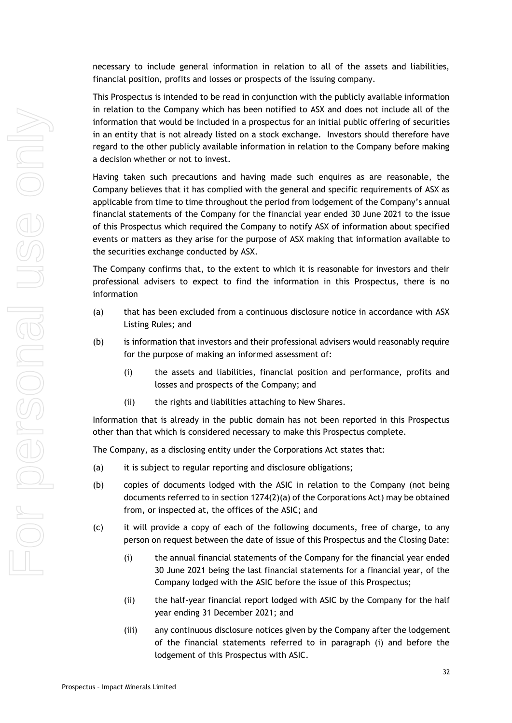necessary to include general information in relation to all of the assets and liabilities, financial position, profits and losses or prospects of the issuing company.

This Prospectus is intended to be read in conjunction with the publicly available information in relation to the Company which has been notified to ASX and does not include all of the information that would be included in a prospectus for an initial public offering of securities in an entity that is not already listed on a stock exchange. Investors should therefore have regard to the other publicly available information in relation to the Company before making a decision whether or not to invest.

Having taken such precautions and having made such enquires as are reasonable, the Company believes that it has complied with the general and specific requirements of ASX as applicable from time to time throughout the period from lodgement of the Company's annual financial statements of the Company for the financial year ended 30 June 2021 to the issue of this Prospectus which required the Company to notify ASX of information about specified events or matters as they arise for the purpose of ASX making that information available to the securities exchange conducted by ASX.

The Company confirms that, to the extent to which it is reasonable for investors and their professional advisers to expect to find the information in this Prospectus, there is no information

- (a) that has been excluded from a continuous disclosure notice in accordance with ASX Listing Rules; and
- (b) is information that investors and their professional advisers would reasonably require for the purpose of making an informed assessment of:
	- (i) the assets and liabilities, financial position and performance, profits and losses and prospects of the Company; and
	- (ii) the rights and liabilities attaching to New Shares.

Information that is already in the public domain has not been reported in this Prospectus other than that which is considered necessary to make this Prospectus complete.

The Company, as a disclosing entity under the Corporations Act states that:

- (a) it is subject to regular reporting and disclosure obligations;
- (b) copies of documents lodged with the ASIC in relation to the Company (not being documents referred to in section 1274(2)(a) of the Corporations Act) may be obtained from, or inspected at, the offices of the ASIC; and
- (c) it will provide a copy of each of the following documents, free of charge, to any person on request between the date of issue of this Prospectus and the Closing Date:
	- (i) the annual financial statements of the Company for the financial year ended 30 June 2021 being the last financial statements for a financial year, of the Company lodged with the ASIC before the issue of this Prospectus;
	- (ii) the half-year financial report lodged with ASIC by the Company for the half year ending 31 December 2021; and
	- (iii) any continuous disclosure notices given by the Company after the lodgement of the financial statements referred to in paragraph (i) and before the lodgement of this Prospectus with ASIC.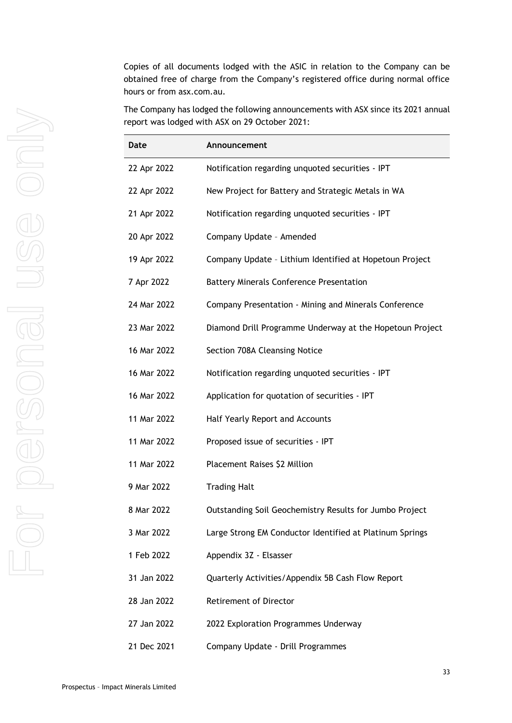Copies of all documents lodged with the ASIC in relation to the Company can be obtained free of charge from the Company's registered office during normal office hours or from asx.com.au.

The Company has lodged the following announcements with ASX since its 2021 annual report was lodged with ASX on 29 October 2021:

| Date        | Announcement                                             |
|-------------|----------------------------------------------------------|
| 22 Apr 2022 | Notification regarding unquoted securities - IPT         |
| 22 Apr 2022 | New Project for Battery and Strategic Metals in WA       |
| 21 Apr 2022 | Notification regarding unquoted securities - IPT         |
| 20 Apr 2022 | Company Update - Amended                                 |
| 19 Apr 2022 | Company Update - Lithium Identified at Hopetoun Project  |
| 7 Apr 2022  | <b>Battery Minerals Conference Presentation</b>          |
| 24 Mar 2022 | Company Presentation - Mining and Minerals Conference    |
| 23 Mar 2022 | Diamond Drill Programme Underway at the Hopetoun Project |
| 16 Mar 2022 | Section 708A Cleansing Notice                            |
| 16 Mar 2022 | Notification regarding unquoted securities - IPT         |
| 16 Mar 2022 | Application for quotation of securities - IPT            |
| 11 Mar 2022 | Half Yearly Report and Accounts                          |
| 11 Mar 2022 | Proposed issue of securities - IPT                       |
| 11 Mar 2022 | Placement Raises \$2 Million                             |
| 9 Mar 2022  | <b>Trading Halt</b>                                      |
| 8 Mar 2022  | Outstanding Soil Geochemistry Results for Jumbo Project  |
| 3 Mar 2022  | Large Strong EM Conductor Identified at Platinum Springs |
| 1 Feb 2022  | Appendix 3Z - Elsasser                                   |
| 31 Jan 2022 | Quarterly Activities/Appendix 5B Cash Flow Report        |
| 28 Jan 2022 | <b>Retirement of Director</b>                            |
| 27 Jan 2022 | 2022 Exploration Programmes Underway                     |

21 Dec 2021 Company Update - Drill Programmes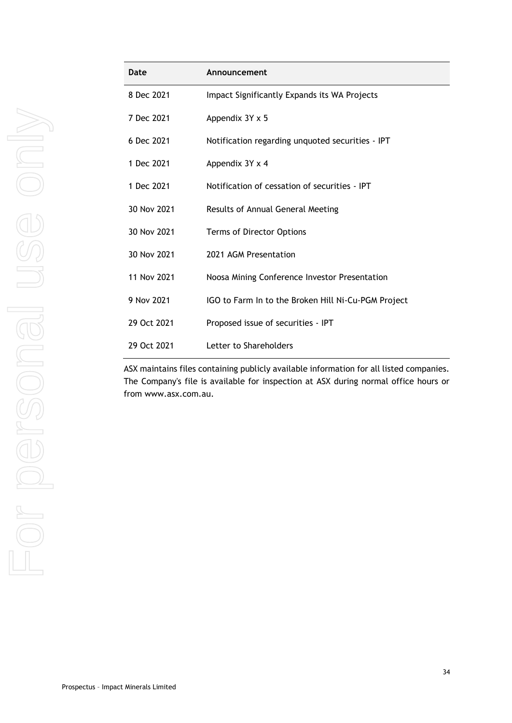| Date        | Announcement                                        |
|-------------|-----------------------------------------------------|
| 8 Dec 2021  | Impact Significantly Expands its WA Projects        |
| 7 Dec 2021  | Appendix 3Y x 5                                     |
| 6 Dec 2021  | Notification regarding unquoted securities - IPT    |
| 1 Dec 2021  | Appendix 3Y x 4                                     |
| 1 Dec 2021  | Notification of cessation of securities - IPT       |
| 30 Nov 2021 | Results of Annual General Meeting                   |
| 30 Nov 2021 | Terms of Director Options                           |
| 30 Nov 2021 | 2021 AGM Presentation                               |
| 11 Nov 2021 | Noosa Mining Conference Investor Presentation       |
| 9 Nov 2021  | IGO to Farm In to the Broken Hill Ni-Cu-PGM Project |
| 29 Oct 2021 | Proposed issue of securities - IPT                  |
| 29 Oct 2021 | Letter to Shareholders                              |

ASX maintains files containing publicly available information for all listed companies. The Company's file is available for inspection at ASX during normal office hours or from www.asx.com.au.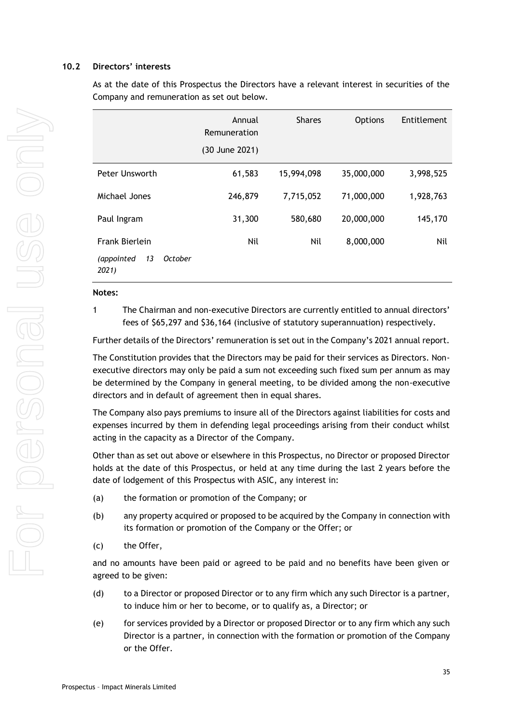### **10.2 Directors' interests**

As at the date of this Prospectus the Directors have a relevant interest in securities of the Company and remuneration as set out below.

|                                      | Annual<br>Remuneration | <b>Shares</b> | <b>Options</b> | Entitlement |
|--------------------------------------|------------------------|---------------|----------------|-------------|
|                                      | (30 June 2021)         |               |                |             |
| Peter Unsworth                       | 61,583                 | 15,994,098    | 35,000,000     | 3,998,525   |
| Michael Jones                        | 246,879                | 7,715,052     | 71,000,000     | 1,928,763   |
| Paul Ingram                          | 31,300                 | 580,680       | 20,000,000     | 145,170     |
| Frank Bierlein                       | Nil                    | Nil           | 8,000,000      | Nil         |
| (appointed<br>13<br>October<br>2021) |                        |               |                |             |

#### **Notes:**

1 The Chairman and non-executive Directors are currently entitled to annual directors' fees of \$65,297 and \$36,164 (inclusive of statutory superannuation) respectively.

Further details of the Directors' remuneration is set out in the Company's 2021 annual report.

The Constitution provides that the Directors may be paid for their services as Directors. Nonexecutive directors may only be paid a sum not exceeding such fixed sum per annum as may be determined by the Company in general meeting, to be divided among the non-executive directors and in default of agreement then in equal shares.

The Company also pays premiums to insure all of the Directors against liabilities for costs and expenses incurred by them in defending legal proceedings arising from their conduct whilst acting in the capacity as a Director of the Company.

Other than as set out above or elsewhere in this Prospectus, no Director or proposed Director holds at the date of this Prospectus, or held at any time during the last 2 years before the date of lodgement of this Prospectus with ASIC, any interest in:

- (a) the formation or promotion of the Company; or
- (b) any property acquired or proposed to be acquired by the Company in connection with its formation or promotion of the Company or the Offer; or
- (c) the Offer,

and no amounts have been paid or agreed to be paid and no benefits have been given or agreed to be given:

- (d) to a Director or proposed Director or to any firm which any such Director is a partner, to induce him or her to become, or to qualify as, a Director; or
- (e) for services provided by a Director or proposed Director or to any firm which any such Director is a partner, in connection with the formation or promotion of the Company or the Offer.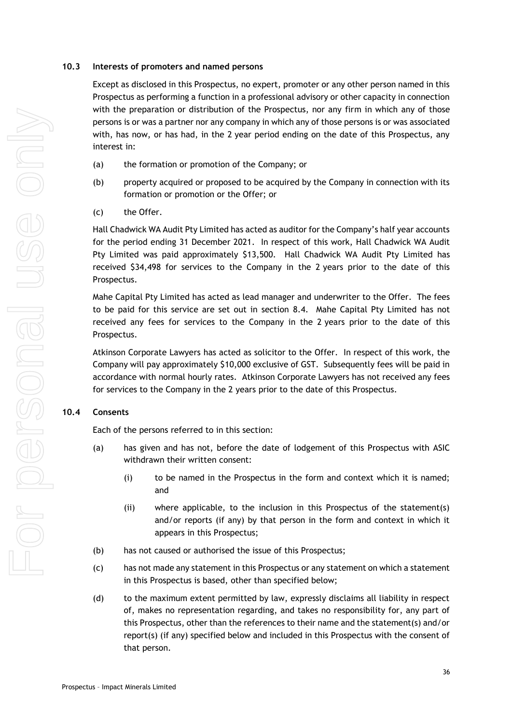### **10.3 Interests of promoters and named persons**

Except as disclosed in this Prospectus, no expert, promoter or any other person named in this Prospectus as performing a function in a professional advisory or other capacity in connection with the preparation or distribution of the Prospectus, nor any firm in which any of those persons is or was a partner nor any company in which any of those persons is or was associated with, has now, or has had, in the 2 year period ending on the date of this Prospectus, any interest in:

- (a) the formation or promotion of the Company; or
- (b) property acquired or proposed to be acquired by the Company in connection with its formation or promotion or the Offer; or
- (c) the Offer.

Hall Chadwick WA Audit Pty Limited has acted as auditor for the Company's half year accounts for the period ending 31 December 2021. In respect of this work, Hall Chadwick WA Audit Pty Limited was paid approximately \$13,500. Hall Chadwick WA Audit Pty Limited has received \$34,498 for services to the Company in the 2 years prior to the date of this Prospectus.

Mahe Capital Pty Limited has acted as lead manager and underwriter to the Offer. The fees to be paid for this service are set out in section [8.4.](#page-20-1) Mahe Capital Pty Limited has not received any fees for services to the Company in the 2 years prior to the date of this Prospectus.

Atkinson Corporate Lawyers has acted as solicitor to the Offer. In respect of this work, the Company will pay approximately \$10,000 exclusive of GST. Subsequently fees will be paid in accordance with normal hourly rates. Atkinson Corporate Lawyers has not received any fees for services to the Company in the 2 years prior to the date of this Prospectus.

## **10.4 Consents**

Each of the persons referred to in this section:

- (a) has given and has not, before the date of lodgement of this Prospectus with ASIC withdrawn their written consent:
	- (i) to be named in the Prospectus in the form and context which it is named; and
	- (ii) where applicable, to the inclusion in this Prospectus of the statement(s) and/or reports (if any) by that person in the form and context in which it appears in this Prospectus;
- (b) has not caused or authorised the issue of this Prospectus;
- (c) has not made any statement in this Prospectus or any statement on which a statement in this Prospectus is based, other than specified below;
- (d) to the maximum extent permitted by law, expressly disclaims all liability in respect of, makes no representation regarding, and takes no responsibility for, any part of this Prospectus, other than the references to their name and the statement(s) and/or report(s) (if any) specified below and included in this Prospectus with the consent of that person.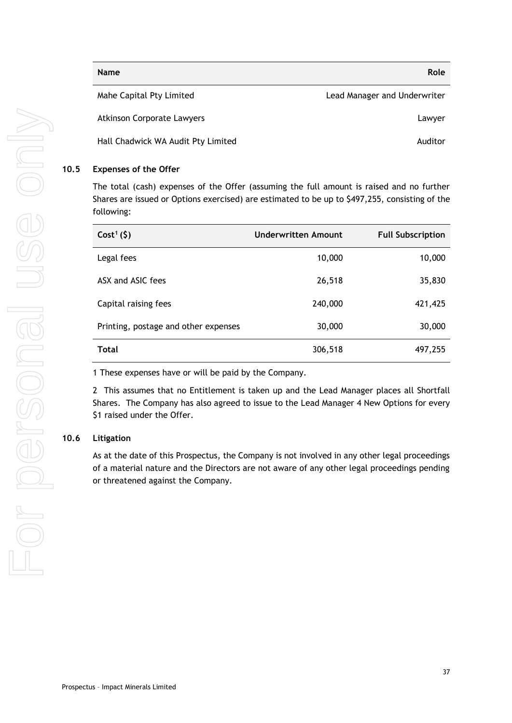| <b>Name</b>                        | Role                         |
|------------------------------------|------------------------------|
| Mahe Capital Pty Limited           | Lead Manager and Underwriter |
| <b>Atkinson Corporate Lawyers</b>  | Lawyer                       |
| Hall Chadwick WA Audit Pty Limited | Auditor                      |

### <span id="page-36-0"></span>**10.5 Expenses of the Offer**

The total (cash) expenses of the Offer (assuming the full amount is raised and no further Shares are issued or Options exercised) are estimated to be up to \$497,255, consisting of the following:

| $Cost1(\xi)$                         | <b>Underwritten Amount</b> | <b>Full Subscription</b> |
|--------------------------------------|----------------------------|--------------------------|
| Legal fees                           | 10,000                     | 10,000                   |
| ASX and ASIC fees                    | 26,518                     | 35,830                   |
| Capital raising fees                 | 240,000                    | 421,425                  |
| Printing, postage and other expenses | 30,000                     | 30,000                   |
| <b>Total</b>                         | 306,518                    | 497,255                  |

1 These expenses have or will be paid by the Company.

2 This assumes that no Entitlement is taken up and the Lead Manager places all Shortfall Shares. The Company has also agreed to issue to the Lead Manager 4 New Options for every \$1 raised under the Offer.

### **10.6 Litigation**

As at the date of this Prospectus, the Company is not involved in any other legal proceedings of a material nature and the Directors are not aware of any other legal proceedings pending or threatened against the Company.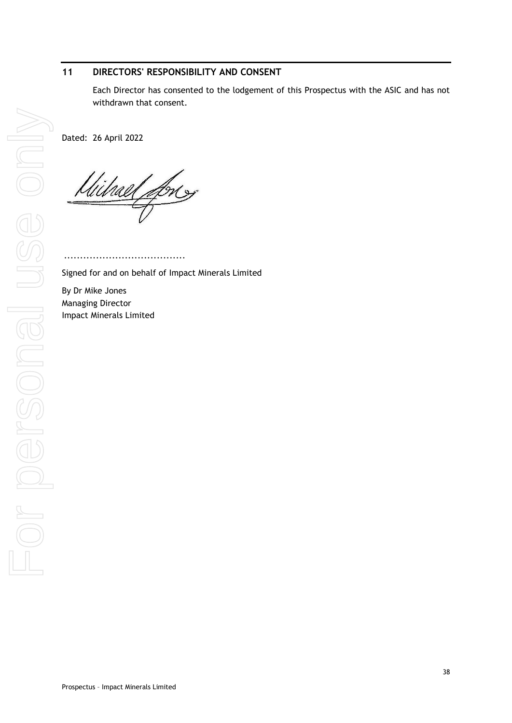# <span id="page-37-0"></span>**11 DIRECTORS' RESPONSIBILITY AND CONSENT**

Each Director has consented to the lodgement of this Prospectus with the ASIC and has not withdrawn that consent.

Dated: 26 April 2022

Wilhael fores

......................................

Signed for and on behalf of Impact Minerals Limited

By Dr Mike Jones Managing Director Impact Minerals Limited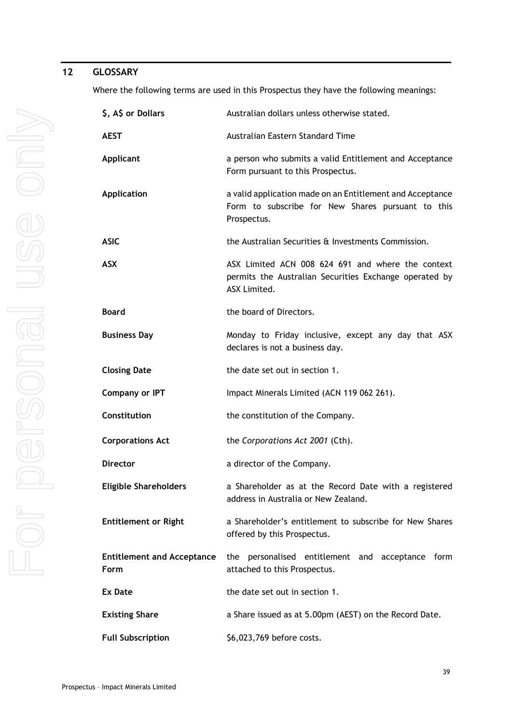# <span id="page-38-0"></span>**12 GLOSSARY**

Where the following terms are used in this Prospectus they have the following meanings:

| \$, A\$ or Dollars                               | Australian dollars unless otherwise stated.                                                                                   |  |  |  |  |
|--------------------------------------------------|-------------------------------------------------------------------------------------------------------------------------------|--|--|--|--|
| <b>AEST</b>                                      | Australian Eastern Standard Time                                                                                              |  |  |  |  |
| <b>Applicant</b>                                 | a person who submits a valid Entitlement and Acceptance<br>Form pursuant to this Prospectus.                                  |  |  |  |  |
| <b>Application</b>                               | a valid application made on an Entitlement and Acceptance<br>Form to subscribe for New Shares pursuant to this<br>Prospectus. |  |  |  |  |
| <b>ASIC</b>                                      | the Australian Securities & Investments Commission.                                                                           |  |  |  |  |
| <b>ASX</b>                                       | ASX Limited ACN 008 624 691 and where the context<br>permits the Australian Securities Exchange operated by<br>ASX Limited.   |  |  |  |  |
| <b>Board</b>                                     | the board of Directors.                                                                                                       |  |  |  |  |
| <b>Business Day</b>                              | Monday to Friday inclusive, except any day that ASX<br>declares is not a business day.                                        |  |  |  |  |
| <b>Closing Date</b>                              | the date set out in section 1.                                                                                                |  |  |  |  |
| <b>Company or IPT</b>                            | Impact Minerals Limited (ACN 119 062 261).                                                                                    |  |  |  |  |
| Constitution                                     | the constitution of the Company.                                                                                              |  |  |  |  |
| <b>Corporations Act</b>                          | the Corporations Act 2001 (Cth).                                                                                              |  |  |  |  |
| <b>Director</b>                                  | a director of the Company.                                                                                                    |  |  |  |  |
| <b>Eligible Shareholders</b>                     | a Shareholder as at the Record Date with a registered<br>address in Australia or New Zealand.                                 |  |  |  |  |
| <b>Entitlement or Right</b>                      | a Shareholder's entitlement to subscribe for New Shares<br>offered by this Prospectus.                                        |  |  |  |  |
| <b>Entitlement and Acceptance</b><br><b>Form</b> | the personalised entitlement and acceptance form<br>attached to this Prospectus.                                              |  |  |  |  |
| <b>Ex Date</b>                                   | the date set out in section 1.                                                                                                |  |  |  |  |
| <b>Existing Share</b>                            | a Share issued as at 5.00pm (AEST) on the Record Date.                                                                        |  |  |  |  |
| <b>Full Subscription</b>                         | \$6,023,769 before costs.                                                                                                     |  |  |  |  |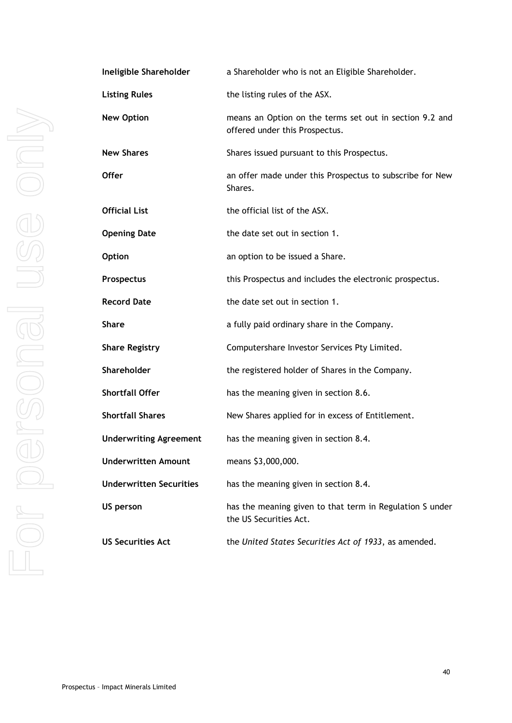| Ineligit       |
|----------------|
| Listing        |
| New O          |
| New Sh         |
| <b>Offer</b>   |
| <b>Officia</b> |
| Openir         |
| Option         |
| Prospe         |
| Record         |
| <b>Share</b>   |
| Share I        |
| Shareh         |
| Shortfa        |
| Shortfa        |
| <b>Undery</b>  |
| <b>Undery</b>  |
| <b>Undery</b>  |
| US per         |
| <b>US Sec</b>  |
|                |

| Ineligible Shareholder         | a Shareholder who is not an Eligible Shareholder.                                         |
|--------------------------------|-------------------------------------------------------------------------------------------|
| <b>Listing Rules</b>           | the listing rules of the ASX.                                                             |
| <b>New Option</b>              | means an Option on the terms set out in section 9.2 and<br>offered under this Prospectus. |
| <b>New Shares</b>              | Shares issued pursuant to this Prospectus.                                                |
| Offer                          | an offer made under this Prospectus to subscribe for New<br>Shares.                       |
| Official List                  | the official list of the ASX.                                                             |
| <b>Opening Date</b>            | the date set out in section 1.                                                            |
| <b>Option</b>                  | an option to be issued a Share.                                                           |
| <b>Prospectus</b>              | this Prospectus and includes the electronic prospectus.                                   |
| <b>Record Date</b>             | the date set out in section 1.                                                            |
| <b>Share</b>                   | a fully paid ordinary share in the Company.                                               |
| <b>Share Registry</b>          | Computershare Investor Services Pty Limited.                                              |
| Shareholder                    | the registered holder of Shares in the Company.                                           |
| <b>Shortfall Offer</b>         | has the meaning given in section 8.6.                                                     |
| <b>Shortfall Shares</b>        | New Shares applied for in excess of Entitlement.                                          |
| <b>Underwriting Agreement</b>  | has the meaning given in section 8.4.                                                     |
| <b>Underwritten Amount</b>     | means \$3,000,000.                                                                        |
| <b>Underwritten Securities</b> | has the meaning given in section 8.4.                                                     |
| <b>US person</b>               | has the meaning given to that term in Regulation S under<br>the US Securities Act.        |
| <b>US Securities Act</b>       | the United States Securities Act of 1933, as amended.                                     |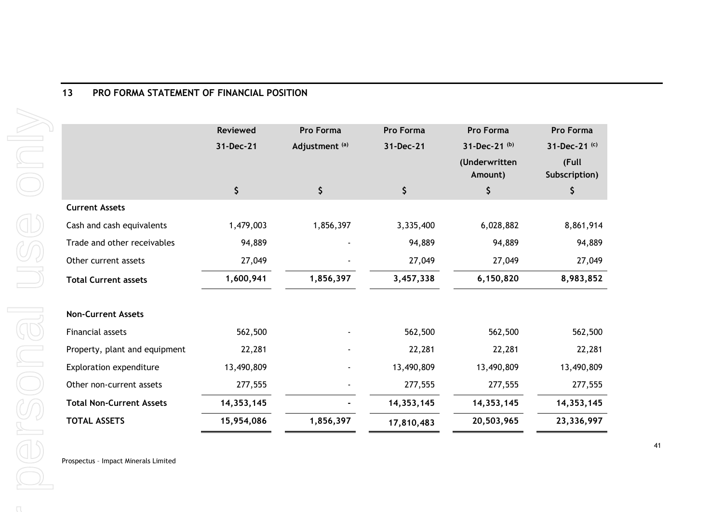<span id="page-40-0"></span>

|                                 | <b>Reviewed</b> | Pro Forma                 | Pro Forma  | Pro Forma                      | Pro Forma              |
|---------------------------------|-----------------|---------------------------|------------|--------------------------------|------------------------|
|                                 | 31-Dec-21       | Adjustment <sup>(a)</sup> | 31-Dec-21  | 31-Dec-21 (b)<br>(Underwritten | 31-Dec-21 (c)<br>(Full |
|                                 |                 |                           |            | Amount)                        | Subscription)          |
|                                 | \$              | \$                        | \$         | \$                             | \$                     |
| <b>Current Assets</b>           |                 |                           |            |                                |                        |
| Cash and cash equivalents       | 1,479,003       | 1,856,397                 | 3,335,400  | 6,028,882                      | 8,861,914              |
| Trade and other receivables     | 94,889          |                           | 94,889     | 94,889                         | 94,889                 |
| Other current assets            | 27,049          |                           | 27,049     | 27,049                         | 27,049                 |
| <b>Total Current assets</b>     | 1,600,941       | 1,856,397                 | 3,457,338  | 6,150,820                      | 8,983,852              |
| <b>Non-Current Assets</b>       |                 |                           |            |                                |                        |
| Financial assets                | 562,500         |                           | 562,500    | 562,500                        | 562,500                |
| Property, plant and equipment   | 22,281          |                           | 22,281     | 22,281                         | 22,281                 |
| <b>Exploration expenditure</b>  | 13,490,809      |                           | 13,490,809 | 13,490,809                     | 13,490,809             |
| Other non-current assets        | 277,555         |                           | 277,555    | 277,555                        | 277,555                |
| <b>Total Non-Current Assets</b> | 14, 353, 145    |                           | 14,353,145 | 14, 353, 145                   | 14, 353, 145           |
| <b>TOTAL ASSETS</b>             | 15,954,086      | 1,856,397                 | 17,810,483 | 20,503,965                     | 23,336,997             |

Prospectus – Impact Minerals Limited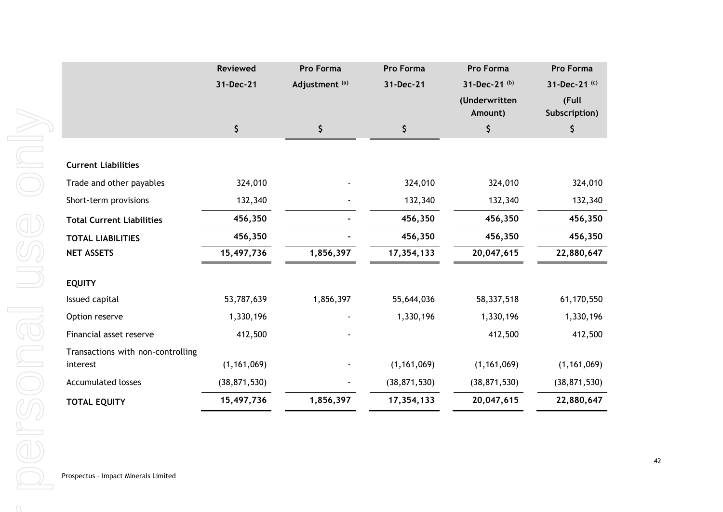|                                   | <b>Reviewed</b> | Pro Forma                 | Pro Forma      | Pro Forma                | Pro Forma              |
|-----------------------------------|-----------------|---------------------------|----------------|--------------------------|------------------------|
|                                   | 31-Dec-21       | Adjustment <sup>(a)</sup> | 31-Dec-21      | 31-Dec-21 (b)            | 31-Dec-21 (c)          |
|                                   |                 |                           |                | (Underwritten<br>Amount) | (Full<br>Subscription) |
|                                   | \$              | \$                        | \$             | \$                       | \$                     |
|                                   |                 |                           |                |                          |                        |
| <b>Current Liabilities</b>        |                 |                           |                |                          |                        |
| Trade and other payables          | 324,010         |                           | 324,010        | 324,010                  | 324,010                |
| Short-term provisions             | 132,340         |                           | 132,340        | 132,340                  | 132,340                |
| <b>Total Current Liabilities</b>  | 456,350         |                           | 456,350        | 456,350                  | 456,350                |
| <b>TOTAL LIABILITIES</b>          | 456,350         |                           | 456,350        | 456,350                  | 456,350                |
| <b>NET ASSETS</b>                 | 15,497,736      | 1,856,397                 | 17,354,133     | 20,047,615               | 22,880,647             |
| <b>EQUITY</b>                     |                 |                           |                |                          |                        |
| Issued capital                    | 53,787,639      | 1,856,397                 | 55,644,036     | 58,337,518               | 61,170,550             |
| Option reserve                    | 1,330,196       |                           | 1,330,196      | 1,330,196                | 1,330,196              |
| Financial asset reserve           | 412,500         |                           |                | 412,500                  | 412,500                |
| Transactions with non-controlling |                 |                           |                |                          |                        |
| interest                          | (1, 161, 069)   |                           | (1, 161, 069)  | (1, 161, 069)            | (1, 161, 069)          |
| <b>Accumulated losses</b>         | (38, 871, 530)  |                           | (38, 871, 530) | (38, 871, 530)           | (38, 871, 530)         |
| <b>TOTAL EQUITY</b>               | 15,497,736      | 1,856,397                 | 17,354,133     | 20,047,615               | 22,880,647             |
|                                   |                 |                           |                |                          |                        |

 $\cap$